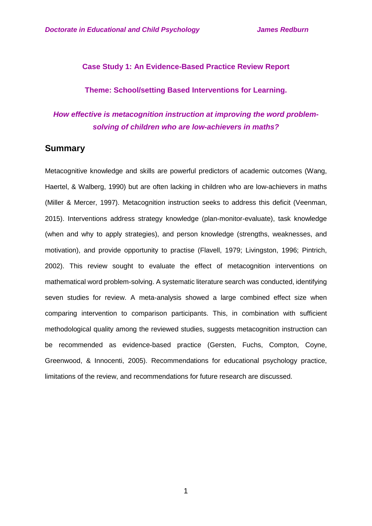### **Case Study 1: An Evidence-Based Practice Review Report**

### **Theme: School/setting Based Interventions for Learning.**

# *How effective is metacognition instruction at improving the word problemsolving of children who are low-achievers in maths?*

## **Summary**

Metacognitive knowledge and skills are powerful predictors of academic outcomes (Wang, Haertel, & Walberg, 1990) but are often lacking in children who are low-achievers in maths (Miller & Mercer, 1997). Metacognition instruction seeks to address this deficit (Veenman, 2015). Interventions address strategy knowledge (plan-monitor-evaluate), task knowledge (when and why to apply strategies), and person knowledge (strengths, weaknesses, and motivation), and provide opportunity to practise (Flavell, 1979; Livingston, 1996; Pintrich, 2002). This review sought to evaluate the effect of metacognition interventions on mathematical word problem-solving. A systematic literature search was conducted, identifying seven studies for review. A meta-analysis showed a large combined effect size when comparing intervention to comparison participants. This, in combination with sufficient methodological quality among the reviewed studies, suggests metacognition instruction can be recommended as evidence-based practice (Gersten, Fuchs, Compton, Coyne, Greenwood, & Innocenti, 2005). Recommendations for educational psychology practice, limitations of the review, and recommendations for future research are discussed.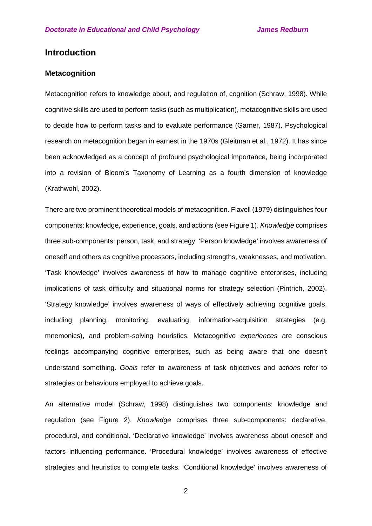# **Introduction**

### **Metacognition**

Metacognition refers to knowledge about, and regulation of, cognition (Schraw, 1998). While cognitive skills are used to perform tasks (such as multiplication), metacognitive skills are used to decide how to perform tasks and to evaluate performance (Garner, 1987). Psychological research on metacognition began in earnest in the 1970s (Gleitman et al., 1972). It has since been acknowledged as a concept of profound psychological importance, being incorporated into a revision of Bloom's Taxonomy of Learning as a fourth dimension of knowledge (Krathwohl, 2002).

There are two prominent theoretical models of metacognition. Flavell (1979) distinguishes four components: knowledge, experience, goals, and actions (see Figure 1). *Knowledge* comprises three sub-components: person, task, and strategy. 'Person knowledge' involves awareness of oneself and others as cognitive processors, including strengths, weaknesses, and motivation. 'Task knowledge' involves awareness of how to manage cognitive enterprises, including implications of task difficulty and situational norms for strategy selection (Pintrich, 2002). 'Strategy knowledge' involves awareness of ways of effectively achieving cognitive goals, including planning, monitoring, evaluating, information-acquisition strategies (e.g. mnemonics), and problem-solving heuristics. Metacognitive *experiences* are conscious feelings accompanying cognitive enterprises, such as being aware that one doesn't understand something. *Goals* refer to awareness of task objectives and *actions* refer to strategies or behaviours employed to achieve goals.

An alternative model (Schraw, 1998) distinguishes two components: knowledge and regulation (see Figure 2). *Knowledge* comprises three sub-components: declarative, procedural, and conditional. 'Declarative knowledge' involves awareness about oneself and factors influencing performance. 'Procedural knowledge' involves awareness of effective strategies and heuristics to complete tasks. 'Conditional knowledge' involves awareness of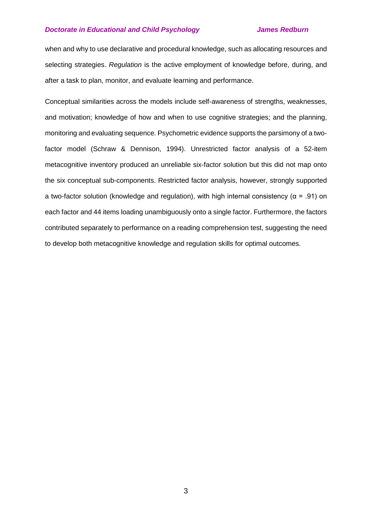when and why to use declarative and procedural knowledge, such as allocating resources and selecting strategies. *Regulation* is the active employment of knowledge before, during, and after a task to plan, monitor, and evaluate learning and performance.

Conceptual similarities across the models include self-awareness of strengths, weaknesses, and motivation; knowledge of how and when to use cognitive strategies; and the planning, monitoring and evaluating sequence. Psychometric evidence supports the parsimony of a twofactor model (Schraw & Dennison, 1994). Unrestricted factor analysis of a 52-item metacognitive inventory produced an unreliable six-factor solution but this did not map onto the six conceptual sub-components. Restricted factor analysis, however, strongly supported a two-factor solution (knowledge and regulation), with high internal consistency ( $\alpha$  = .91) on each factor and 44 items loading unambiguously onto a single factor. Furthermore, the factors contributed separately to performance on a reading comprehension test, suggesting the need to develop both metacognitive knowledge and regulation skills for optimal outcomes.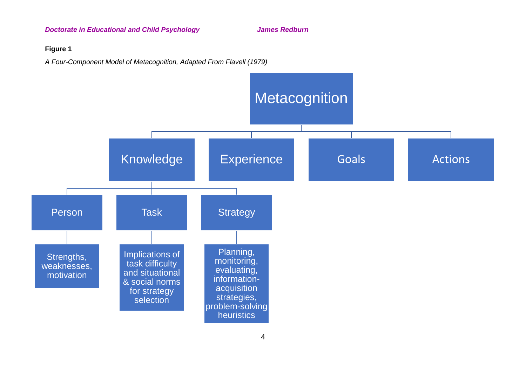### **Figure 1**

*A Four-Component Model of Metacognition, Adapted From Flavell (1979)*

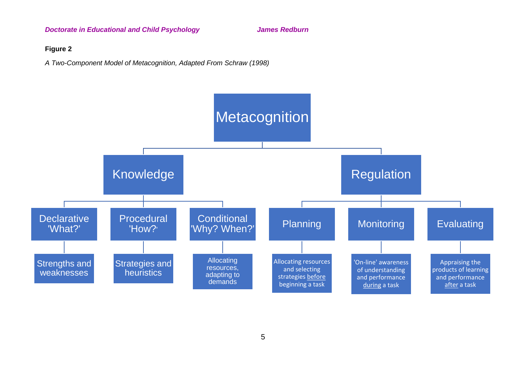### **Figure 2**

*A Two-Component Model of Metacognition, Adapted From Schraw (1998)*

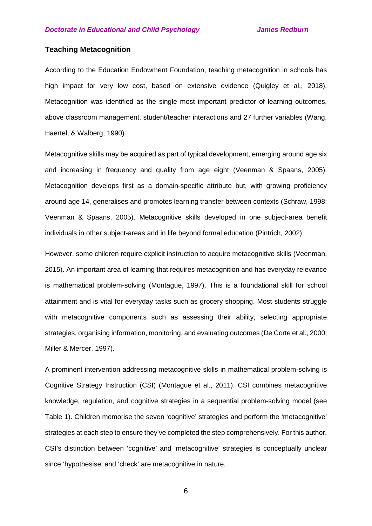## **Teaching Metacognition**

According to the Education Endowment Foundation, teaching metacognition in schools has high impact for very low cost, based on extensive evidence (Quigley et al., 2018). Metacognition was identified as the single most important predictor of learning outcomes, above classroom management, student/teacher interactions and 27 further variables (Wang, Haertel, & Walberg, 1990).

Metacognitive skills may be acquired as part of typical development, emerging around age six and increasing in frequency and quality from age eight (Veenman & Spaans, 2005). Metacognition develops first as a domain-specific attribute but, with growing proficiency around age 14, generalises and promotes learning transfer between contexts (Schraw, 1998; Veenman & Spaans, 2005). Metacognitive skills developed in one subject-area benefit individuals in other subject-areas and in life beyond formal education (Pintrich, 2002).

However, some children require explicit instruction to acquire metacognitive skills (Veenman, 2015). An important area of learning that requires metacognition and has everyday relevance is mathematical problem-solving (Montague, 1997). This is a foundational skill for school attainment and is vital for everyday tasks such as grocery shopping. Most students struggle with metacognitive components such as assessing their ability, selecting appropriate strategies, organising information, monitoring, and evaluating outcomes (De Corte et al., 2000; Miller & Mercer, 1997).

A prominent intervention addressing metacognitive skills in mathematical problem-solving is Cognitive Strategy Instruction (CSI) (Montague et al., 2011). CSI combines metacognitive knowledge, regulation, and cognitive strategies in a sequential problem-solving model (see Table 1). Children memorise the seven 'cognitive' strategies and perform the 'metacognitive' strategies at each step to ensure they've completed the step comprehensively. For this author, CSI's distinction between 'cognitive' and 'metacognitive' strategies is conceptually unclear since 'hypothesise' and 'check' are metacognitive in nature.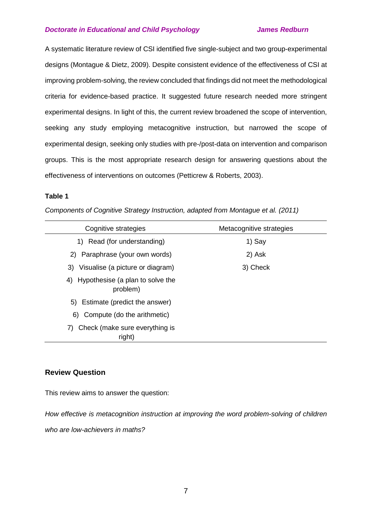A systematic literature review of CSI identified five single-subject and two group-experimental designs (Montague & Dietz, 2009). Despite consistent evidence of the effectiveness of CSI at improving problem-solving, the review concluded that findings did not meet the methodological criteria for evidence-based practice. It suggested future research needed more stringent experimental designs. In light of this, the current review broadened the scope of intervention, seeking any study employing metacognitive instruction, but narrowed the scope of experimental design, seeking only studies with pre-/post-data on intervention and comparison groups. This is the most appropriate research design for answering questions about the effectiveness of interventions on outcomes (Petticrew & Roberts, 2003).

#### **Table 1**

*Components of Cognitive Strategy Instruction, adapted from Montague et al. (2011)*

| Cognitive strategies                            | Metacognitive strategies |
|-------------------------------------------------|--------------------------|
| 1) Read (for understanding)                     | 1) Say                   |
| 2) Paraphrase (your own words)                  | 2) Ask                   |
| 3) Visualise (a picture or diagram)             | 3) Check                 |
| 4) Hypothesise (a plan to solve the<br>problem) |                          |
| Estimate (predict the answer)<br>5)             |                          |
| 6) Compute (do the arithmetic)                  |                          |
| Check (make sure everything is<br>7)<br>right)  |                          |

## **Review Question**

This review aims to answer the question:

*How effective is metacognition instruction at improving the word problem-solving of children who are low-achievers in maths?*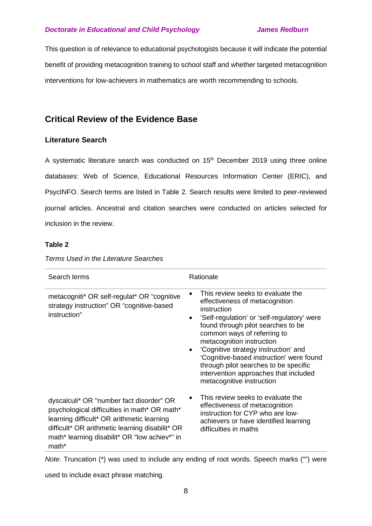This question is of relevance to educational psychologists because it will indicate the potential benefit of providing metacognition training to school staff and whether targeted metacognition interventions for low-achievers in mathematics are worth recommending to schools.

# **Critical Review of the Evidence Base**

## **Literature Search**

A systematic literature search was conducted on  $15<sup>th</sup>$  December 2019 using three online databases: Web of Science, Educational Resources Information Center (ERIC), and PsycINFO. Search terms are listed in Table 2. Search results were limited to peer-reviewed journal articles. Ancestral and citation searches were conducted on articles selected for inclusion in the review.

### **Table 2**

| Search terms                                                                                                                                                                                                                                        | Rationale                                                                                                                                                                                                                                                                                                                                                                                                                                           |
|-----------------------------------------------------------------------------------------------------------------------------------------------------------------------------------------------------------------------------------------------------|-----------------------------------------------------------------------------------------------------------------------------------------------------------------------------------------------------------------------------------------------------------------------------------------------------------------------------------------------------------------------------------------------------------------------------------------------------|
| metacogniti* OR self-regulat* OR "cognitive<br>strategy instruction" OR "cognitive-based<br>instruction"                                                                                                                                            | This review seeks to evaluate the<br>effectiveness of metacognition<br>instruction<br>'Self-regulation' or 'self-regulatory' were<br>$\bullet$<br>found through pilot searches to be<br>common ways of referring to<br>metacognition instruction<br>'Cognitive strategy instruction' and<br>'Cognitive-based instruction' were found<br>through pilot searches to be specific<br>intervention approaches that included<br>metacognitive instruction |
| dyscalculi* OR "number fact disorder" OR<br>psychological difficulties in math* OR math*<br>learning difficult* OR arithmetic learning<br>difficult* OR arithmetic learning disabilit* OR<br>math* learning disabilit* OR "low achiev*" in<br>math* | This review seeks to evaluate the<br>effectiveness of metacognition<br>instruction for CYP who are low-<br>achievers or have identified learning<br>difficulties in maths                                                                                                                                                                                                                                                                           |

*Terms Used in the Literature Searches*

*Note*. Truncation (\*) was used to include any ending of root words. Speech marks ("") were

used to include exact phrase matching.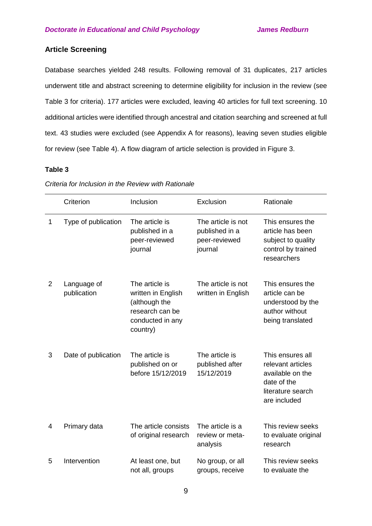## **Article Screening**

Database searches yielded 248 results. Following removal of 31 duplicates, 217 articles underwent title and abstract screening to determine eligibility for inclusion in the review (see Table 3 for criteria). 177 articles were excluded, leaving 40 articles for full text screening. 10 additional articles were identified through ancestral and citation searching and screened at full text. 43 studies were excluded (see Appendix A for reasons), leaving seven studies eligible for review (see Table 4). A flow diagram of article selection is provided in Figure 3.

#### **Table 3**

|   | Criterion                  | Inclusion                                                                                                | Exclusion                                                        | Rationale                                                                                                     |
|---|----------------------------|----------------------------------------------------------------------------------------------------------|------------------------------------------------------------------|---------------------------------------------------------------------------------------------------------------|
| 1 | Type of publication        | The article is<br>published in a<br>peer-reviewed<br>journal                                             | The article is not<br>published in a<br>peer-reviewed<br>journal | This ensures the<br>article has been<br>subject to quality<br>control by trained<br>researchers               |
| 2 | Language of<br>publication | The article is<br>written in English<br>(although the<br>research can be<br>conducted in any<br>country) | The article is not<br>written in English                         | This ensures the<br>article can be<br>understood by the<br>author without<br>being translated                 |
| 3 | Date of publication        | The article is<br>published on or<br>before 15/12/2019                                                   | The article is<br>published after<br>15/12/2019                  | This ensures all<br>relevant articles<br>available on the<br>date of the<br>literature search<br>are included |
| 4 | Primary data               | The article consists<br>of original research                                                             | The article is a<br>review or meta-<br>analysis                  | This review seeks<br>to evaluate original<br>research                                                         |
| 5 | Intervention               | At least one, but<br>not all, groups                                                                     | No group, or all<br>groups, receive                              | This review seeks<br>to evaluate the                                                                          |

*Criteria for Inclusion in the Review with Rationale*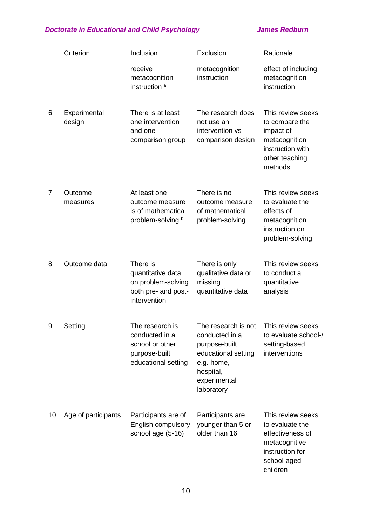|    | Criterion              | Inclusion                                                                                    | Exclusion                                                                                                                              | Rationale                                                                                                               |
|----|------------------------|----------------------------------------------------------------------------------------------|----------------------------------------------------------------------------------------------------------------------------------------|-------------------------------------------------------------------------------------------------------------------------|
|    |                        | receive<br>metacognition<br>instruction <sup>a</sup>                                         | metacognition<br>instruction                                                                                                           | effect of including<br>metacognition<br>instruction                                                                     |
| 6  | Experimental<br>design | There is at least<br>one intervention<br>and one<br>comparison group                         | The research does<br>not use an<br>intervention vs<br>comparison design                                                                | This review seeks<br>to compare the<br>impact of<br>metacognition<br>instruction with<br>other teaching<br>methods      |
| 7  | Outcome<br>measures    | At least one<br>outcome measure<br>is of mathematical<br>problem-solving b                   | There is no<br>outcome measure<br>of mathematical<br>problem-solving                                                                   | This review seeks<br>to evaluate the<br>effects of<br>metacognition<br>instruction on<br>problem-solving                |
| 8  | Outcome data           | There is<br>quantitative data<br>on problem-solving<br>both pre- and post-<br>intervention   | There is only<br>qualitative data or<br>missing<br>quantitative data                                                                   | This review seeks<br>to conduct a<br>quantitative<br>analysis                                                           |
| 9  | Setting                | The research is<br>conducted in a<br>school or other<br>purpose-built<br>educational setting | The research is not<br>conducted in a<br>purpose-built<br>educational setting<br>e.g. home,<br>hospital,<br>experimental<br>laboratory | This review seeks<br>to evaluate school-/<br>setting-based<br>interventions                                             |
| 10 | Age of participants    | Participants are of<br>English compulsory<br>school age (5-16)                               | Participants are<br>younger than 5 or<br>older than 16                                                                                 | This review seeks<br>to evaluate the<br>effectiveness of<br>metacognitive<br>instruction for<br>school-aged<br>children |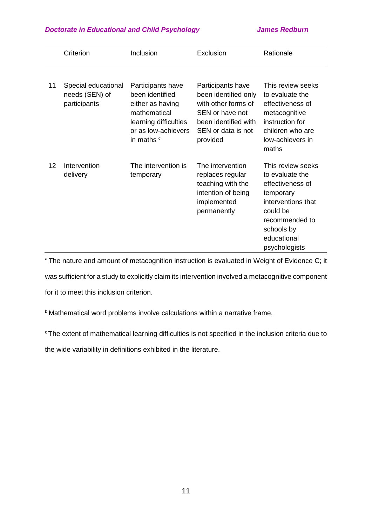|    | Criterion                                             | Inclusion                                                                                                                                         | Exclusion                                                                                                                                     | Rationale                                                                                                                                                               |
|----|-------------------------------------------------------|---------------------------------------------------------------------------------------------------------------------------------------------------|-----------------------------------------------------------------------------------------------------------------------------------------------|-------------------------------------------------------------------------------------------------------------------------------------------------------------------------|
| 11 | Special educational<br>needs (SEN) of<br>participants | Participants have<br>been identified<br>either as having<br>mathematical<br>learning difficulties<br>or as low-achievers<br>in maths <sup>c</sup> | Participants have<br>been identified only<br>with other forms of<br>SEN or have not<br>been identified with<br>SEN or data is not<br>provided | This review seeks<br>to evaluate the<br>effectiveness of<br>metacognitive<br>instruction for<br>children who are<br>low-achievers in<br>maths                           |
| 12 | Intervention<br>delivery                              | The intervention is<br>temporary                                                                                                                  | The intervention<br>replaces regular<br>teaching with the<br>intention of being<br>implemented<br>permanently                                 | This review seeks<br>to evaluate the<br>effectiveness of<br>temporary<br>interventions that<br>could be<br>recommended to<br>schools by<br>educational<br>psychologists |

<sup>a</sup> The nature and amount of metacognition instruction is evaluated in Weight of Evidence C; it was sufficient for a study to explicitly claim its intervention involved a metacognitive component for it to meet this inclusion criterion.

b Mathematical word problems involve calculations within a narrative frame.

<sup>c</sup> The extent of mathematical learning difficulties is not specified in the inclusion criteria due to

the wide variability in definitions exhibited in the literature.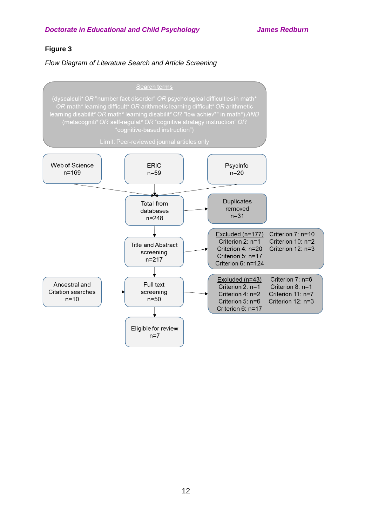## **Figure 3**

*Flow Diagram of Literature Search and Article Screening*

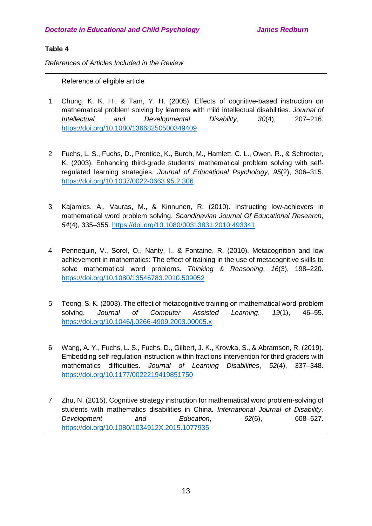## **Table 4**

*References of Articles Included in the Review*

Reference of eligible article

- 1 Chung, K. K. H., & Tam, Y. H. (2005). Effects of cognitive-based instruction on mathematical problem solving by learners with mild intellectual disabilities. *Journal of Intellectual and Developmental Disability*, *30*(4), 207–216. <https://doi.org/10.1080/13668250500349409>
- 2 Fuchs, L. S., Fuchs, D., Prentice, K., Burch, M., Hamlett, C. L., Owen, R., & Schroeter, K. (2003). Enhancing third-grade students' mathematical problem solving with selfregulated learning strategies. *Journal of Educational Psychology*, *95*(2), 306–315. <https://doi.org/10.1037/0022-0663.95.2.306>
- 3 Kajamies, A., Vauras, M., & Kinnunen, R. (2010). Instructing low-achievers in mathematical word problem solving. *Scandinavian Journal Of Educational Research*, *54*(4), 335–355.<https://doi.org/10.1080/00313831.2010.493341>
- 4 Pennequin, V., Sorel, O., Nanty, I., & Fontaine, R. (2010). Metacognition and low achievement in mathematics: The effect of training in the use of metacognitive skills to solve mathematical word problems. *Thinking & Reasoning*, *16*(3), 198–220. <https://doi.org/10.1080/13546783.2010.509052>
- 5 Teong, S. K. (2003). The effect of metacognitive training on mathematical word-problem solving. *Journal of Computer Assisted Learning*, *19*(1), 46–55. <https://doi.org/10.1046/j.0266-4909.2003.00005.x>
- 6 Wang, A. Y., Fuchs, L. S., Fuchs, D., Gilbert, J. K., Krowka, S., & Abramson, R. (2019). Embedding self-regulation instruction within fractions intervention for third graders with mathematics difficulties. *Journal of Learning Disabilities*, *52*(4), 337–348. <https://doi.org/10.1177/0022219419851750>
- 7 Zhu, N. (2015). Cognitive strategy instruction for mathematical word problem-solving of students with mathematics disabilities in China. *International Journal of Disability, Development and Education*, *62*(6), 608–627. <https://doi.org/10.1080/1034912X.2015.1077935>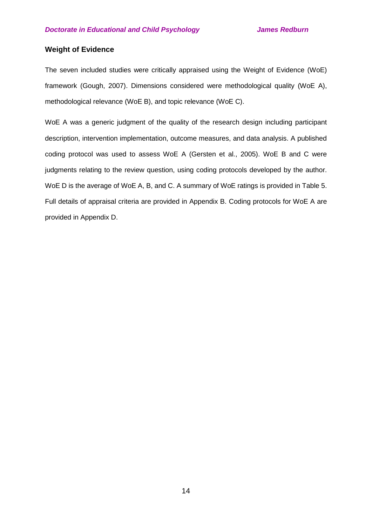## **Weight of Evidence**

The seven included studies were critically appraised using the Weight of Evidence (WoE) framework (Gough, 2007). Dimensions considered were methodological quality (WoE A), methodological relevance (WoE B), and topic relevance (WoE C).

WoE A was a generic judgment of the quality of the research design including participant description, intervention implementation, outcome measures, and data analysis. A published coding protocol was used to assess WoE A (Gersten et al., 2005). WoE B and C were judgments relating to the review question, using coding protocols developed by the author. WoE D is the average of WoE A, B, and C. A summary of WoE ratings is provided in Table 5. Full details of appraisal criteria are provided in Appendix B. Coding protocols for WoE A are provided in Appendix D.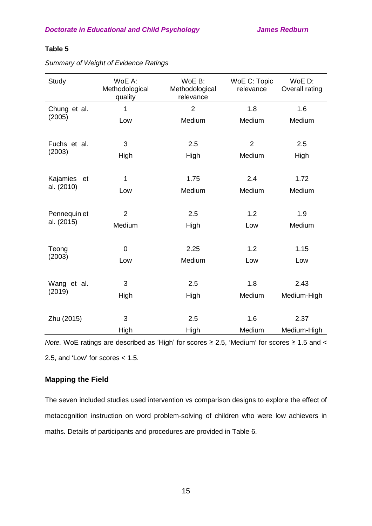## **Table 5**

| Study          | WoE A:<br>Methodological<br>quality | WoE B:<br>Methodological<br>relevance | WoE C: Topic<br>relevance | WoE D:<br>Overall rating |
|----------------|-------------------------------------|---------------------------------------|---------------------------|--------------------------|
| Chung et al.   | 1                                   | $\overline{2}$                        | 1.8                       | 1.6                      |
| (2005)         | Low                                 | Medium                                | Medium                    | Medium                   |
|                |                                     |                                       |                           |                          |
| Fuchs et al.   | 3                                   | 2.5                                   | $\overline{2}$            | 2.5                      |
| (2003)         | High                                | High                                  | Medium                    | High                     |
| Kajamies<br>et | 1                                   | 1.75                                  | 2.4                       | 1.72                     |
| al. (2010)     |                                     |                                       |                           |                          |
|                | Low                                 | Medium                                | Medium                    | Medium                   |
| Pennequin et   | $\overline{2}$                      | 2.5                                   | 1.2                       | 1.9                      |
| al. (2015)     | Medium                              | High                                  | Low                       | Medium                   |
|                |                                     |                                       |                           |                          |
| Teong          | $\mathbf 0$                         | 2.25                                  | 1.2                       | 1.15                     |
| (2003)         | Low                                 | Medium                                | Low                       | Low                      |
|                |                                     |                                       |                           |                          |
| Wang et al.    | 3                                   | 2.5                                   | 1.8                       | 2.43                     |
| (2019)         | High                                | High                                  | Medium                    | Medium-High              |
|                | 3                                   | 2.5                                   | 1.6                       |                          |
| Zhu (2015)     |                                     |                                       |                           | 2.37                     |
|                | High                                | High                                  | Medium                    | Medium-High              |

*Summary of Weight of Evidence Ratings*

*Note.* WoE ratings are described as 'High' for scores ≥ 2.5, 'Medium' for scores ≥ 1.5 and < 2.5, and 'Low' for scores < 1.5.

## **Mapping the Field**

The seven included studies used intervention vs comparison designs to explore the effect of metacognition instruction on word problem-solving of children who were low achievers in maths. Details of participants and procedures are provided in Table 6.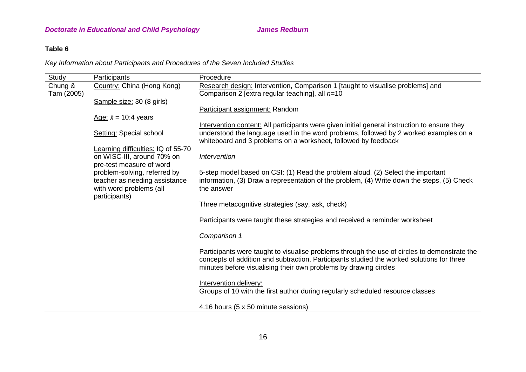# **Table 6**

*Key Information about Participants and Procedures of the Seven Included Studies*

| Study                 | Participants                                                                             | Procedure                                                                                                                                                                                                                                                     |
|-----------------------|------------------------------------------------------------------------------------------|---------------------------------------------------------------------------------------------------------------------------------------------------------------------------------------------------------------------------------------------------------------|
| Chung &<br>Tam (2005) | Country: China (Hong Kong)                                                               | Research design: Intervention, Comparison 1 [taught to visualise problems] and<br>Comparison 2 [extra regular teaching], all $n=10$                                                                                                                           |
|                       | Sample size: 30 (8 girls)                                                                |                                                                                                                                                                                                                                                               |
|                       |                                                                                          | Participant assignment: Random                                                                                                                                                                                                                                |
|                       | Age: $\bar{x}$ = 10:4 years                                                              | Intervention content: All participants were given initial general instruction to ensure they                                                                                                                                                                  |
|                       | <b>Setting: Special school</b>                                                           | understood the language used in the word problems, followed by 2 worked examples on a<br>whiteboard and 3 problems on a worksheet, followed by feedback                                                                                                       |
|                       | Learning difficulties: IQ of 55-70                                                       |                                                                                                                                                                                                                                                               |
|                       | on WISC-III, around 70% on<br>pre-test measure of word                                   | Intervention                                                                                                                                                                                                                                                  |
|                       | problem-solving, referred by<br>teacher as needing assistance<br>with word problems (all | 5-step model based on CSI: (1) Read the problem aloud, (2) Select the important<br>information, (3) Draw a representation of the problem, (4) Write down the steps, (5) Check<br>the answer                                                                   |
|                       | participants)                                                                            | Three metacognitive strategies (say, ask, check)                                                                                                                                                                                                              |
|                       |                                                                                          | Participants were taught these strategies and received a reminder worksheet                                                                                                                                                                                   |
|                       |                                                                                          | Comparison 1                                                                                                                                                                                                                                                  |
|                       |                                                                                          | Participants were taught to visualise problems through the use of circles to demonstrate the<br>concepts of addition and subtraction. Participants studied the worked solutions for three<br>minutes before visualising their own problems by drawing circles |
|                       |                                                                                          | Intervention delivery:<br>Groups of 10 with the first author during regularly scheduled resource classes                                                                                                                                                      |
|                       |                                                                                          | 4.16 hours (5 x 50 minute sessions)                                                                                                                                                                                                                           |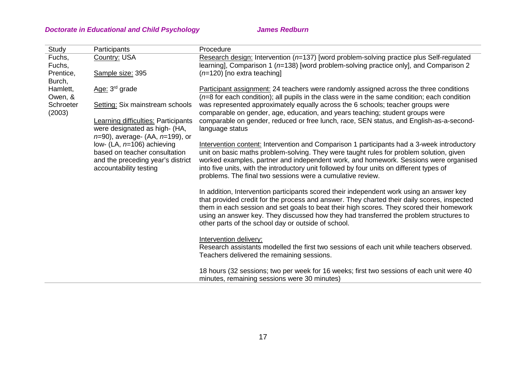| Study                                                          | Participants                                                                                        | Procedure                                                                                                                                                                                                                                                                                                                                                                                                                               |
|----------------------------------------------------------------|-----------------------------------------------------------------------------------------------------|-----------------------------------------------------------------------------------------------------------------------------------------------------------------------------------------------------------------------------------------------------------------------------------------------------------------------------------------------------------------------------------------------------------------------------------------|
| Fuchs,<br>Fuchs,                                               | Country: USA                                                                                        | Research design: Intervention ( $n=137$ ) [word problem-solving practice plus Self-regulated<br>learning], Comparison 1 ( $n=138$ ) [word problem-solving practice only], and Comparison 2                                                                                                                                                                                                                                              |
| Prentice,<br>Burch,                                            | Sample size: 395                                                                                    | $(n=120)$ [no extra teaching]                                                                                                                                                                                                                                                                                                                                                                                                           |
| Hamlett,<br>Owen, &                                            | Age: 3 <sup>rd</sup> grade                                                                          | Participant assignment: 24 teachers were randomly assigned across the three conditions<br>$(n=8$ for each condition); all pupils in the class were in the same condition; each condition                                                                                                                                                                                                                                                |
| Schroeter<br>(2003)                                            | Setting: Six mainstream schools                                                                     | was represented approximately equally across the 6 schools; teacher groups were<br>comparable on gender, age, education, and years teaching; student groups were                                                                                                                                                                                                                                                                        |
|                                                                | Learning difficulties: Participants<br>were designated as high- (HA,                                | comparable on gender, reduced or free lunch, race, SEN status, and English-as-a-second-<br>language status                                                                                                                                                                                                                                                                                                                              |
| $n=90$ , average- (AA, $n=199$ ), or<br>accountability testing | low- (LA, $n=106$ ) achieving<br>based on teacher consultation<br>and the preceding year's district | Intervention content: Intervention and Comparison 1 participants had a 3-week introductory<br>unit on basic maths problem-solving. They were taught rules for problem solution, given<br>worked examples, partner and independent work, and homework. Sessions were organised<br>into five units, with the introductory unit followed by four units on different types of<br>problems. The final two sessions were a cumulative review. |
|                                                                |                                                                                                     | In addition, Intervention participants scored their independent work using an answer key<br>that provided credit for the process and answer. They charted their daily scores, inspected<br>them in each session and set goals to beat their high scores. They scored their homework<br>using an answer key. They discussed how they had transferred the problem structures to<br>other parts of the school day or outside of school.    |
|                                                                |                                                                                                     | Intervention delivery:<br>Research assistants modelled the first two sessions of each unit while teachers observed.<br>Teachers delivered the remaining sessions.                                                                                                                                                                                                                                                                       |
|                                                                |                                                                                                     | 18 hours (32 sessions; two per week for 16 weeks; first two sessions of each unit were 40<br>minutes, remaining sessions were 30 minutes)                                                                                                                                                                                                                                                                                               |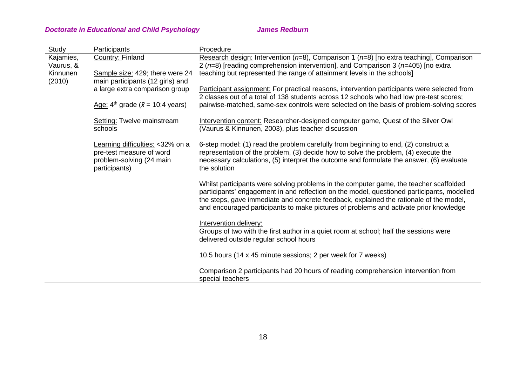| Study                  | Participants                                                                                              | Procedure                                                                                                                                                                                                                                                                                                                                                               |
|------------------------|-----------------------------------------------------------------------------------------------------------|-------------------------------------------------------------------------------------------------------------------------------------------------------------------------------------------------------------------------------------------------------------------------------------------------------------------------------------------------------------------------|
| Kajamies,<br>Vaurus, & | Country: Finland                                                                                          | Research design: Intervention ( $n=8$ ), Comparison 1 ( $n=8$ ) [no extra teaching], Comparison<br>2 ( $n=8$ ) [reading comprehension intervention], and Comparison 3 ( $n=405$ ) [no extra                                                                                                                                                                             |
| Kinnunen<br>(2010)     | Sample size: 429; there were 24<br>main participants (12 girls) and                                       | teaching but represented the range of attainment levels in the schools]                                                                                                                                                                                                                                                                                                 |
|                        | a large extra comparison group                                                                            | Participant assignment: For practical reasons, intervention participants were selected from<br>2 classes out of a total of 138 students across 12 schools who had low pre-test scores;                                                                                                                                                                                  |
|                        | Age: $4^{\text{th}}$ grade ( $\bar{x}$ = 10:4 years)                                                      | pairwise-matched, same-sex controls were selected on the basis of problem-solving scores                                                                                                                                                                                                                                                                                |
|                        | Setting: Twelve mainstream<br>schools                                                                     | Intervention content: Researcher-designed computer game, Quest of the Silver Owl<br>(Vaurus & Kinnunen, 2003), plus teacher discussion                                                                                                                                                                                                                                  |
|                        | Learning difficulties: <32% on a<br>pre-test measure of word<br>problem-solving (24 main<br>participants) | 6-step model: (1) read the problem carefully from beginning to end, (2) construct a<br>representation of the problem, (3) decide how to solve the problem, (4) execute the<br>necessary calculations, (5) interpret the outcome and formulate the answer, (6) evaluate<br>the solution                                                                                  |
|                        |                                                                                                           | Whilst participants were solving problems in the computer game, the teacher scaffolded<br>participants' engagement in and reflection on the model, questioned participants, modelled<br>the steps, gave immediate and concrete feedback, explained the rationale of the model,<br>and encouraged participants to make pictures of problems and activate prior knowledge |
|                        |                                                                                                           | Intervention delivery:<br>Groups of two with the first author in a quiet room at school; half the sessions were<br>delivered outside regular school hours                                                                                                                                                                                                               |
|                        |                                                                                                           | 10.5 hours (14 x 45 minute sessions; 2 per week for 7 weeks)                                                                                                                                                                                                                                                                                                            |
|                        |                                                                                                           | Comparison 2 participants had 20 hours of reading comprehension intervention from<br>special teachers                                                                                                                                                                                                                                                                   |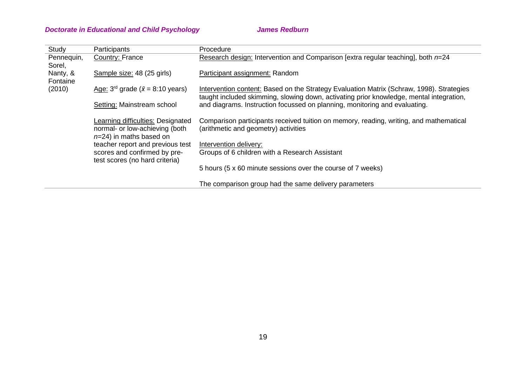| Study                | Participants                                                                                      | Procedure                                                                                                                                                                           |
|----------------------|---------------------------------------------------------------------------------------------------|-------------------------------------------------------------------------------------------------------------------------------------------------------------------------------------|
| Pennequin,<br>Sorel, | Country: France                                                                                   | Research design: Intervention and Comparison [extra regular teaching], both n=24                                                                                                    |
| Nanty, &<br>Fontaine | Sample size: 48 (25 girls)                                                                        | Participant assignment: Random                                                                                                                                                      |
| (2010)               | Age: $3^{rd}$ grade ( $\bar{x}$ = 8:10 years)                                                     | Intervention content: Based on the Strategy Evaluation Matrix (Schraw, 1998). Strategies<br>taught included skimming, slowing down, activating prior knowledge, mental integration, |
|                      | Setting: Mainstream school                                                                        | and diagrams. Instruction focussed on planning, monitoring and evaluating.                                                                                                          |
|                      | Learning difficulties: Designated<br>normal- or low-achieving (both<br>$n=24$ ) in maths based on | Comparison participants received tuition on memory, reading, writing, and mathematical<br>(arithmetic and geometry) activities                                                      |
|                      | teacher report and previous test                                                                  | Intervention delivery:                                                                                                                                                              |
|                      | scores and confirmed by pre-<br>test scores (no hard criteria)                                    | Groups of 6 children with a Research Assistant                                                                                                                                      |
|                      |                                                                                                   | 5 hours (5 x 60 minute sessions over the course of 7 weeks)                                                                                                                         |
|                      |                                                                                                   | The comparison group had the same delivery parameters                                                                                                                               |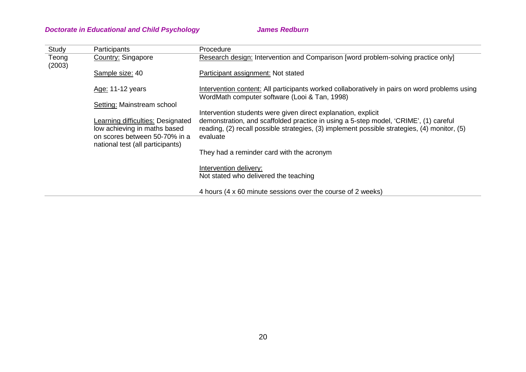| Study           | Participants                                                                                                                           | Procedure                                                                                                                                                                                        |
|-----------------|----------------------------------------------------------------------------------------------------------------------------------------|--------------------------------------------------------------------------------------------------------------------------------------------------------------------------------------------------|
| Teong<br>(2003) | Country: Singapore                                                                                                                     | Research design: Intervention and Comparison [word problem-solving practice only]                                                                                                                |
|                 | Sample size: 40                                                                                                                        | Participant assignment: Not stated                                                                                                                                                               |
|                 | Age: 11-12 years                                                                                                                       | Intervention content: All participants worked collaboratively in pairs on word problems using<br>WordMath computer software (Looi & Tan, 1998)                                                   |
|                 | Setting: Mainstream school                                                                                                             |                                                                                                                                                                                                  |
|                 |                                                                                                                                        | Intervention students were given direct explanation, explicit                                                                                                                                    |
|                 | Learning difficulties: Designated<br>low achieving in maths based<br>on scores between 50-70% in a<br>national test (all participants) | demonstration, and scaffolded practice in using a 5-step model, 'CRIME', (1) careful<br>reading, (2) recall possible strategies, (3) implement possible strategies, (4) monitor, (5)<br>evaluate |
|                 |                                                                                                                                        | They had a reminder card with the acronym                                                                                                                                                        |
|                 |                                                                                                                                        | Intervention delivery:                                                                                                                                                                           |
|                 |                                                                                                                                        | Not stated who delivered the teaching                                                                                                                                                            |
|                 |                                                                                                                                        | 4 hours (4 x 60 minute sessions over the course of 2 weeks)                                                                                                                                      |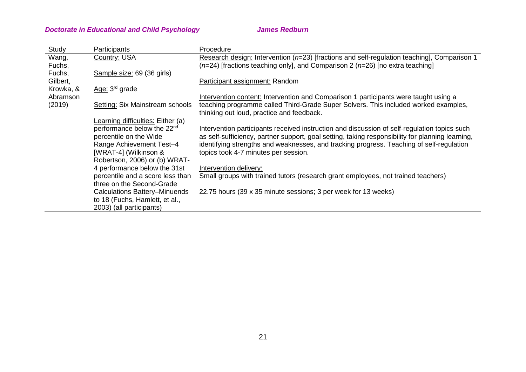| Study     | Participants                           | Procedure                                                                                        |
|-----------|----------------------------------------|--------------------------------------------------------------------------------------------------|
| Wang,     | Country: USA                           | Research design: Intervention ( $n=23$ ) [fractions and self-regulation teaching], Comparison 1  |
| Fuchs,    |                                        | $(n=24)$ [fractions teaching only], and Comparison 2 ( $n=26$ ) [no extra teaching]              |
| Fuchs,    | Sample size: 69 (36 girls)             |                                                                                                  |
| Gilbert,  |                                        | Participant assignment: Random                                                                   |
| Krowka, & | Age: $3rd$ grade                       |                                                                                                  |
| Abramson  |                                        | Intervention content: Intervention and Comparison 1 participants were taught using a             |
| (2019)    | Setting: Six Mainstream schools        | teaching programme called Third-Grade Super Solvers. This included worked examples,              |
|           |                                        | thinking out loud, practice and feedback.                                                        |
|           | Learning difficulties: Either (a)      |                                                                                                  |
|           | performance below the 22 <sup>nd</sup> | Intervention participants received instruction and discussion of self-regulation topics such     |
|           | percentile on the Wide                 | as self-sufficiency, partner support, goal setting, taking responsibility for planning learning, |
|           | Range Achievement Test-4               | identifying strengths and weaknesses, and tracking progress. Teaching of self-regulation         |
|           | [WRAT-4] (Wilkinson &                  | topics took 4-7 minutes per session.                                                             |
|           | Robertson, 2006) or (b) WRAT-          |                                                                                                  |
|           | 4 performance below the 31st           | Intervention delivery:                                                                           |
|           | percentile and a score less than       | Small groups with trained tutors (research grant employees, not trained teachers)                |
|           | three on the Second-Grade              |                                                                                                  |
|           | Calculations Battery-Minuends          | 22.75 hours (39 x 35 minute sessions; 3 per week for 13 weeks)                                   |
|           | to 18 (Fuchs, Hamlett, et al.,         |                                                                                                  |
|           | 2003) (all participants)               |                                                                                                  |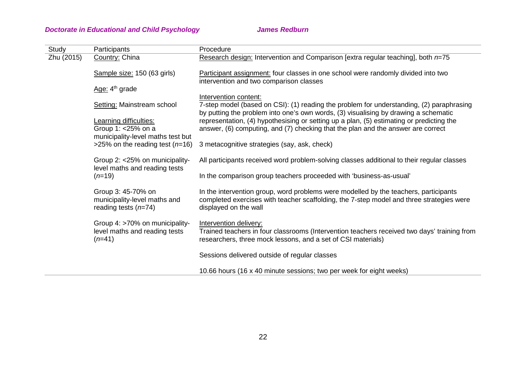| Study      | Participants                                                                                                                                           | Procedure                                                                                                                                                                                                 |
|------------|--------------------------------------------------------------------------------------------------------------------------------------------------------|-----------------------------------------------------------------------------------------------------------------------------------------------------------------------------------------------------------|
| Zhu (2015) | Country: China                                                                                                                                         | Research design: Intervention and Comparison [extra regular teaching], both n=75                                                                                                                          |
|            | Sample size: 150 (63 girls)                                                                                                                            | Participant assignment: four classes in one school were randomly divided into two<br>intervention and two comparison classes                                                                              |
|            | Age: 4 <sup>th</sup> grade                                                                                                                             |                                                                                                                                                                                                           |
|            | Setting: Mainstream school<br>Learning difficulties:<br>Group 1: <25% on a<br>municipality-level maths test but<br>>25% on the reading test ( $n=16$ ) | Intervention content:<br>7-step model (based on CSI): (1) reading the problem for understanding, (2) paraphrasing<br>by putting the problem into one's own words, (3) visualising by drawing a schematic  |
|            |                                                                                                                                                        | representation, (4) hypothesising or setting up a plan, (5) estimating or predicting the<br>answer, (6) computing, and (7) checking that the plan and the answer are correct                              |
|            |                                                                                                                                                        | 3 metacognitive strategies (say, ask, check)                                                                                                                                                              |
|            | Group 2: <25% on municipality-<br>level maths and reading tests                                                                                        | All participants received word problem-solving classes additional to their regular classes                                                                                                                |
|            | $(n=19)$                                                                                                                                               | In the comparison group teachers proceeded with 'business-as-usual'                                                                                                                                       |
|            | Group 3: 45-70% on<br>municipality-level maths and<br>reading tests $(n=74)$                                                                           | In the intervention group, word problems were modelled by the teachers, participants<br>completed exercises with teacher scaffolding, the 7-step model and three strategies were<br>displayed on the wall |
|            | Group 4: >70% on municipality-<br>level maths and reading tests<br>$(n=41)$                                                                            | Intervention delivery:<br>Trained teachers in four classrooms (Intervention teachers received two days' training from<br>researchers, three mock lessons, and a set of CSI materials)                     |
|            |                                                                                                                                                        | Sessions delivered outside of regular classes                                                                                                                                                             |
|            |                                                                                                                                                        | 10.66 hours (16 x 40 minute sessions; two per week for eight weeks)                                                                                                                                       |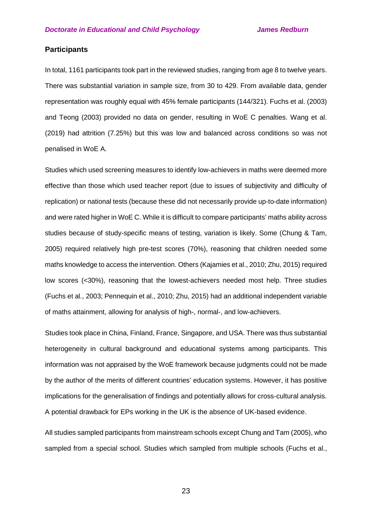## **Participants**

In total, 1161 participants took part in the reviewed studies, ranging from age 8 to twelve years. There was substantial variation in sample size, from 30 to 429. From available data, gender representation was roughly equal with 45% female participants (144/321). Fuchs et al. (2003) and Teong (2003) provided no data on gender, resulting in WoE C penalties. Wang et al. (2019) had attrition (7.25%) but this was low and balanced across conditions so was not penalised in WoE A.

Studies which used screening measures to identify low-achievers in maths were deemed more effective than those which used teacher report (due to issues of subjectivity and difficulty of replication) or national tests (because these did not necessarily provide up-to-date information) and were rated higher in WoE C. While it is difficult to compare participants' maths ability across studies because of study-specific means of testing, variation is likely. Some (Chung & Tam, 2005) required relatively high pre-test scores (70%), reasoning that children needed some maths knowledge to access the intervention. Others (Kajamies et al., 2010; Zhu, 2015) required low scores (<30%), reasoning that the lowest-achievers needed most help. Three studies (Fuchs et al., 2003; Pennequin et al., 2010; Zhu, 2015) had an additional independent variable of maths attainment, allowing for analysis of high-, normal-, and low-achievers.

Studies took place in China, Finland, France, Singapore, and USA. There was thus substantial heterogeneity in cultural background and educational systems among participants. This information was not appraised by the WoE framework because judgments could not be made by the author of the merits of different countries' education systems. However, it has positive implications for the generalisation of findings and potentially allows for cross-cultural analysis. A potential drawback for EPs working in the UK is the absence of UK-based evidence.

All studies sampled participants from mainstream schools except Chung and Tam (2005), who sampled from a special school. Studies which sampled from multiple schools (Fuchs et al.,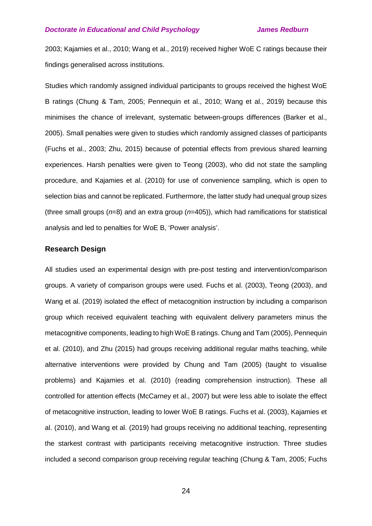2003; Kajamies et al., 2010; Wang et al., 2019) received higher WoE C ratings because their findings generalised across institutions.

Studies which randomly assigned individual participants to groups received the highest WoE B ratings (Chung & Tam, 2005; Pennequin et al., 2010; Wang et al., 2019) because this minimises the chance of irrelevant, systematic between-groups differences (Barker et al., 2005). Small penalties were given to studies which randomly assigned classes of participants (Fuchs et al., 2003; Zhu, 2015) because of potential effects from previous shared learning experiences. Harsh penalties were given to Teong (2003), who did not state the sampling procedure, and Kajamies et al. (2010) for use of convenience sampling, which is open to selection bias and cannot be replicated. Furthermore, the latter study had unequal group sizes (three small groups (*n*=8) and an extra group (*n*=405)), which had ramifications for statistical analysis and led to penalties for WoE B, 'Power analysis'.

#### **Research Design**

All studies used an experimental design with pre-post testing and intervention/comparison groups. A variety of comparison groups were used. Fuchs et al. (2003), Teong (2003), and Wang et al. (2019) isolated the effect of metacognition instruction by including a comparison group which received equivalent teaching with equivalent delivery parameters minus the metacognitive components, leading to high WoE B ratings. Chung and Tam (2005), Pennequin et al. (2010), and Zhu (2015) had groups receiving additional regular maths teaching, while alternative interventions were provided by Chung and Tam (2005) (taught to visualise problems) and Kajamies et al. (2010) (reading comprehension instruction). These all controlled for attention effects (McCarney et al., 2007) but were less able to isolate the effect of metacognitive instruction, leading to lower WoE B ratings. Fuchs et al. (2003), Kajamies et al. (2010), and Wang et al. (2019) had groups receiving no additional teaching, representing the starkest contrast with participants receiving metacognitive instruction. Three studies included a second comparison group receiving regular teaching (Chung & Tam, 2005; Fuchs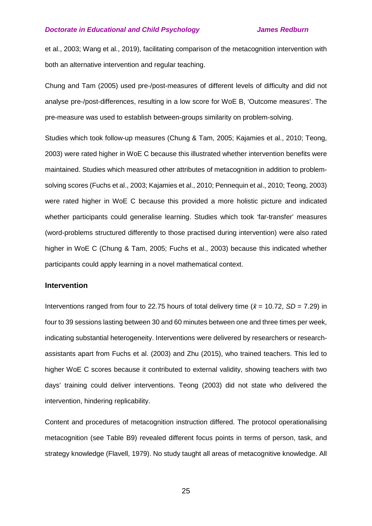et al., 2003; Wang et al., 2019), facilitating comparison of the metacognition intervention with both an alternative intervention and regular teaching.

Chung and Tam (2005) used pre-/post-measures of different levels of difficulty and did not analyse pre-/post-differences, resulting in a low score for WoE B, 'Outcome measures'. The pre-measure was used to establish between-groups similarity on problem-solving.

Studies which took follow-up measures (Chung & Tam, 2005; Kajamies et al., 2010; Teong, 2003) were rated higher in WoE C because this illustrated whether intervention benefits were maintained. Studies which measured other attributes of metacognition in addition to problemsolving scores (Fuchs et al., 2003; Kajamies et al., 2010; Pennequin et al., 2010; Teong, 2003) were rated higher in WoE C because this provided a more holistic picture and indicated whether participants could generalise learning. Studies which took 'far-transfer' measures (word-problems structured differently to those practised during intervention) were also rated higher in WoE C (Chung & Tam, 2005; Fuchs et al., 2003) because this indicated whether participants could apply learning in a novel mathematical context.

### **Intervention**

Interventions ranged from four to 22.75 hours of total delivery time ( $\bar{x}$  = 10.72, *SD* = 7.29) in four to 39 sessions lasting between 30 and 60 minutes between one and three times per week, indicating substantial heterogeneity. Interventions were delivered by researchers or researchassistants apart from Fuchs et al. (2003) and Zhu (2015), who trained teachers. This led to higher WoE C scores because it contributed to external validity, showing teachers with two days' training could deliver interventions. Teong (2003) did not state who delivered the intervention, hindering replicability.

Content and procedures of metacognition instruction differed. The protocol operationalising metacognition (see Table B9) revealed different focus points in terms of person, task, and strategy knowledge (Flavell, 1979). No study taught all areas of metacognitive knowledge. All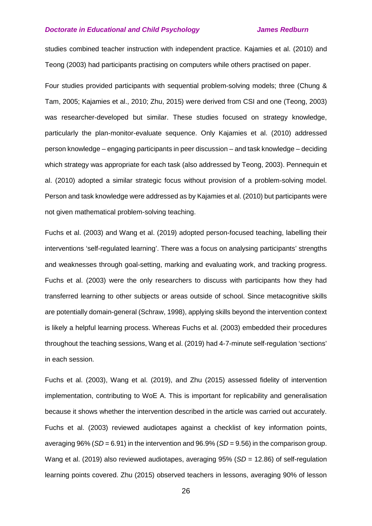studies combined teacher instruction with independent practice. Kajamies et al. (2010) and Teong (2003) had participants practising on computers while others practised on paper.

Four studies provided participants with sequential problem-solving models; three (Chung & Tam, 2005; Kajamies et al., 2010; Zhu, 2015) were derived from CSI and one (Teong, 2003) was researcher-developed but similar. These studies focused on strategy knowledge, particularly the plan-monitor-evaluate sequence. Only Kajamies et al. (2010) addressed person knowledge – engaging participants in peer discussion – and task knowledge – deciding which strategy was appropriate for each task (also addressed by Teong, 2003). Pennequin et al. (2010) adopted a similar strategic focus without provision of a problem-solving model. Person and task knowledge were addressed as by Kajamies et al. (2010) but participants were not given mathematical problem-solving teaching.

Fuchs et al. (2003) and Wang et al. (2019) adopted person-focused teaching, labelling their interventions 'self-regulated learning'. There was a focus on analysing participants' strengths and weaknesses through goal-setting, marking and evaluating work, and tracking progress. Fuchs et al. (2003) were the only researchers to discuss with participants how they had transferred learning to other subjects or areas outside of school. Since metacognitive skills are potentially domain-general (Schraw, 1998), applying skills beyond the intervention context is likely a helpful learning process. Whereas Fuchs et al. (2003) embedded their procedures throughout the teaching sessions, Wang et al. (2019) had 4-7-minute self-regulation 'sections' in each session.

Fuchs et al. (2003), Wang et al. (2019), and Zhu (2015) assessed fidelity of intervention implementation, contributing to WoE A. This is important for replicability and generalisation because it shows whether the intervention described in the article was carried out accurately. Fuchs et al. (2003) reviewed audiotapes against a checklist of key information points, averaging 96% (*SD* = 6.91) in the intervention and 96.9% (*SD* = 9.56) in the comparison group. Wang et al. (2019) also reviewed audiotapes, averaging 95% (*SD* = 12.86) of self-regulation learning points covered. Zhu (2015) observed teachers in lessons, averaging 90% of lesson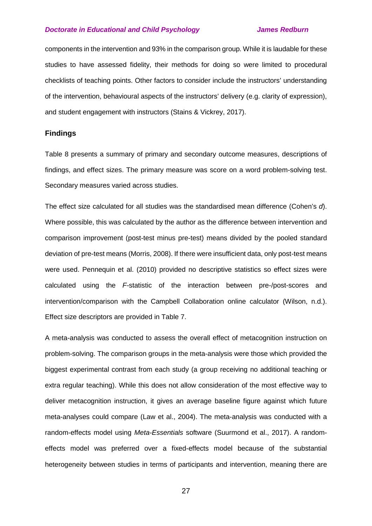components in the intervention and 93% in the comparison group. While it is laudable for these studies to have assessed fidelity, their methods for doing so were limited to procedural checklists of teaching points. Other factors to consider include the instructors' understanding of the intervention, behavioural aspects of the instructors' delivery (e.g. clarity of expression), and student engagement with instructors (Stains & Vickrey, 2017).

#### **Findings**

Table 8 presents a summary of primary and secondary outcome measures, descriptions of findings, and effect sizes. The primary measure was score on a word problem-solving test. Secondary measures varied across studies.

The effect size calculated for all studies was the standardised mean difference (Cohen's *d*). Where possible, this was calculated by the author as the difference between intervention and comparison improvement (post-test minus pre-test) means divided by the pooled standard deviation of pre-test means (Morris, 2008). If there were insufficient data, only post-test means were used. Pennequin et al. (2010) provided no descriptive statistics so effect sizes were calculated using the *F-*statistic of the interaction between pre-/post-scores and intervention/comparison with the Campbell Collaboration online calculator (Wilson, n.d.). Effect size descriptors are provided in Table 7.

A meta-analysis was conducted to assess the overall effect of metacognition instruction on problem-solving. The comparison groups in the meta-analysis were those which provided the biggest experimental contrast from each study (a group receiving no additional teaching or extra regular teaching). While this does not allow consideration of the most effective way to deliver metacognition instruction, it gives an average baseline figure against which future meta-analyses could compare (Law et al., 2004). The meta-analysis was conducted with a random-effects model using *Meta-Essentials* software (Suurmond et al., 2017). A randomeffects model was preferred over a fixed-effects model because of the substantial heterogeneity between studies in terms of participants and intervention, meaning there are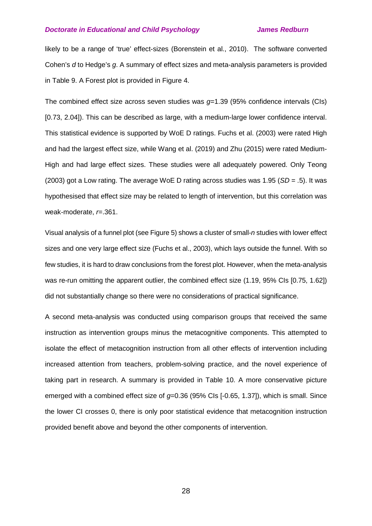likely to be a range of 'true' effect-sizes (Borenstein et al., 2010). The software converted Cohen's *d* to Hedge's *g*. A summary of effect sizes and meta-analysis parameters is provided in Table 9. A Forest plot is provided in Figure 4.

The combined effect size across seven studies was *g*=1.39 (95% confidence intervals (CIs) [0.73, 2.04]). This can be described as large, with a medium-large lower confidence interval. This statistical evidence is supported by WoE D ratings. Fuchs et al. (2003) were rated High and had the largest effect size, while Wang et al. (2019) and Zhu (2015) were rated Medium-High and had large effect sizes. These studies were all adequately powered. Only Teong (2003) got a Low rating. The average WoE D rating across studies was 1.95 (*SD* = .5). It was hypothesised that effect size may be related to length of intervention, but this correlation was weak-moderate, *r*=.361.

Visual analysis of a funnel plot (see Figure 5) shows a cluster of small-*n* studies with lower effect sizes and one very large effect size (Fuchs et al., 2003), which lays outside the funnel. With so few studies, it is hard to draw conclusions from the forest plot. However, when the meta-analysis was re-run omitting the apparent outlier, the combined effect size (1.19, 95% CIs [0.75, 1.62]) did not substantially change so there were no considerations of practical significance.

A second meta-analysis was conducted using comparison groups that received the same instruction as intervention groups minus the metacognitive components. This attempted to isolate the effect of metacognition instruction from all other effects of intervention including increased attention from teachers, problem-solving practice, and the novel experience of taking part in research. A summary is provided in Table 10. A more conservative picture emerged with a combined effect size of *g*=0.36 (95% CIs [-0.65, 1.37]), which is small. Since the lower CI crosses 0, there is only poor statistical evidence that metacognition instruction provided benefit above and beyond the other components of intervention.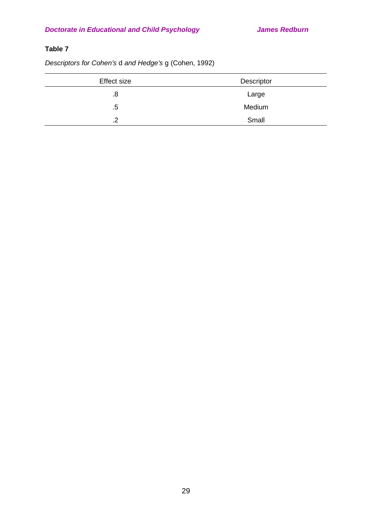# **Table 7**

*Descriptors for Cohen's* d *and Hedge's* g (Cohen, 1992)

| <b>Effect size</b> | Descriptor |
|--------------------|------------|
| .8                 | Large      |
| .5                 | Medium     |
| ົ<br>. Z           | Small      |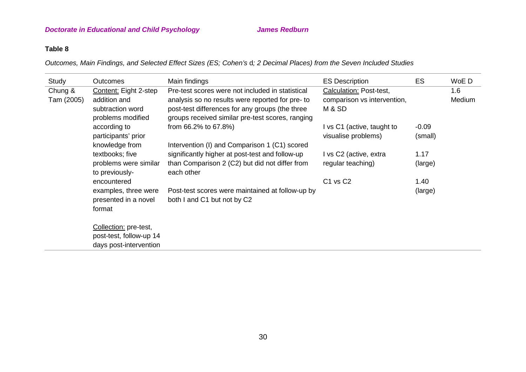## **Table 8**

*Outcomes, Main Findings, and Selected Effect Sizes (ES; Cohen's* d*; 2 Decimal Places) from the Seven Included Studies*

| Study      | Outcomes                                                   | Main findings                                                                                                                                          | <b>ES Description</b>                             | ES                 | WoE D  |
|------------|------------------------------------------------------------|--------------------------------------------------------------------------------------------------------------------------------------------------------|---------------------------------------------------|--------------------|--------|
| Chung &    | Content: Eight 2-step                                      | Pre-test scores were not included in statistical                                                                                                       | Calculation: Post-test,                           |                    | 1.6    |
| Tam (2005) | addition and<br>subtraction word<br>problems modified      | analysis so no results were reported for pre-to<br>post-test differences for any groups (the three<br>groups received similar pre-test scores, ranging | comparison vs intervention,<br>M & SD             |                    | Medium |
|            | according to<br>participants' prior                        | from 66.2% to 67.8%)                                                                                                                                   | I vs C1 (active, taught to<br>visualise problems) | $-0.09$<br>(small) |        |
|            | knowledge from                                             | Intervention (I) and Comparison 1 (C1) scored                                                                                                          |                                                   |                    |        |
|            | textbooks; five<br>problems were similar<br>to previously- | significantly higher at post-test and follow-up<br>than Comparison 2 (C2) but did not differ from<br>each other                                        | I vs C2 (active, extra<br>regular teaching)       | 1.17<br>(large)    |        |
|            | encountered                                                |                                                                                                                                                        | C <sub>1</sub> vs C <sub>2</sub>                  | 1.40               |        |
|            | examples, three were<br>presented in a novel<br>format     | Post-test scores were maintained at follow-up by<br>both I and C1 but not by C2                                                                        |                                                   | (large)            |        |
|            | Collection: pre-test,                                      |                                                                                                                                                        |                                                   |                    |        |
|            | post-test, follow-up 14                                    |                                                                                                                                                        |                                                   |                    |        |
|            | days post-intervention                                     |                                                                                                                                                        |                                                   |                    |        |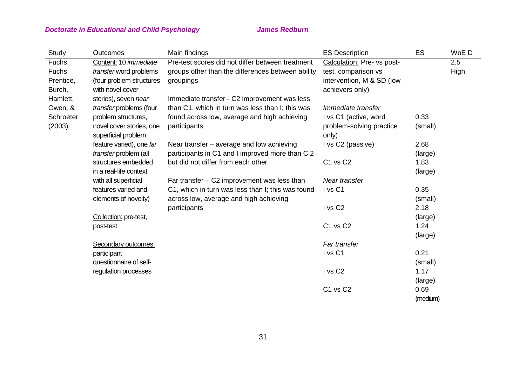| Study     | <b>Outcomes</b>          | Main findings                                     | <b>ES Description</b>      | ES       | WoE D       |
|-----------|--------------------------|---------------------------------------------------|----------------------------|----------|-------------|
| Fuchs,    | Content: 10 immediate    | Pre-test scores did not differ between treatment  | Calculation: Pre- vs post- |          | 2.5         |
| Fuchs,    | transfer word problems   | groups other than the differences between ability | test, comparison vs        |          | <b>High</b> |
| Prentice, | (four problem structures | groupings                                         | intervention, M & SD (low- |          |             |
| Burch,    | with novel cover         |                                                   | achievers only)            |          |             |
| Hamlett,  | stories), seven near     | Immediate transfer - C2 improvement was less      |                            |          |             |
| Owen, &   | transfer problems (four  | than C1, which in turn was less than I; this was  | Immediate transfer         |          |             |
| Schroeter | problem structures,      | found across low, average and high achieving      | I vs C1 (active, word      | 0.33     |             |
| (2003)    | novel cover stories, one | participants                                      | problem-solving practice   | (small)  |             |
|           | superficial problem      |                                                   | only)                      |          |             |
|           | feature varied), one far | Near transfer – average and low achieving         | I vs C2 (passive)          | 2.68     |             |
|           | transfer problem (all    | participants in C1 and I improved more than C 2   |                            | (large)  |             |
|           | structures embedded      | but did not differ from each other                | C1 vs C2                   | 1.83     |             |
|           | in a real-life context,  |                                                   |                            | (large)  |             |
|           | with all superficial     | Far transfer $-$ C2 improvement was less than     | Near transfer              |          |             |
|           | features varied and      | C1, which in turn was less than I; this was found | I vs C1                    | 0.35     |             |
|           | elements of novelty)     | across low, average and high achieving            |                            | (small)  |             |
|           |                          | participants                                      | I vs C <sub>2</sub>        | 2.18     |             |
|           | Collection: pre-test,    |                                                   |                            | (large)  |             |
|           | post-test                |                                                   | C1 vs C2                   | 1.24     |             |
|           |                          |                                                   |                            | (large)  |             |
|           | Secondary outcomes:      |                                                   | Far transfer               |          |             |
|           | participant              |                                                   | I vs C1                    | 0.21     |             |
|           | questionnaire of self-   |                                                   |                            | (small)  |             |
|           | regulation processes     |                                                   | I vs C <sub>2</sub>        | 1.17     |             |
|           |                          |                                                   |                            | (large)  |             |
|           |                          |                                                   | C1 vs C2                   | 0.69     |             |
|           |                          |                                                   |                            | (medium) |             |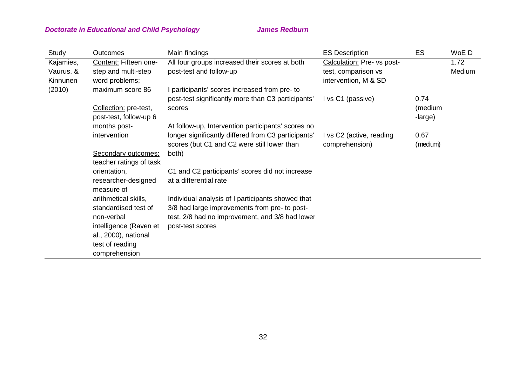| Study                  | Outcomes                                     | Main findings                                                                                      | <b>ES Description</b>                       | ES               | WoE D          |
|------------------------|----------------------------------------------|----------------------------------------------------------------------------------------------------|---------------------------------------------|------------------|----------------|
| Kajamies,<br>Vaurus, & | Content: Fifteen one-<br>step and multi-step | All four groups increased their scores at both<br>post-test and follow-up                          | Calculation: Pre- vs post-                  |                  | 1.72<br>Medium |
| Kinnunen               | word problems;                               |                                                                                                    | test, comparison vs<br>intervention, M & SD |                  |                |
| (2010)                 | maximum score 86                             | I participants' scores increased from pre-to                                                       |                                             |                  |                |
|                        |                                              | post-test significantly more than C3 participants'                                                 | I vs C1 (passive)                           | 0.74             |                |
|                        | Collection: pre-test,                        | scores                                                                                             |                                             | (medium          |                |
|                        | post-test, follow-up 6                       |                                                                                                    |                                             | -large)          |                |
|                        | months post-                                 | At follow-up, Intervention participants' scores no                                                 |                                             |                  |                |
|                        | intervention                                 | longer significantly differed from C3 participants'<br>scores (but C1 and C2 were still lower than | I vs C2 (active, reading<br>comprehension)  | 0.67<br>(medium) |                |
|                        | Secondary outcomes:                          | both)                                                                                              |                                             |                  |                |
|                        | teacher ratings of task                      |                                                                                                    |                                             |                  |                |
|                        | orientation,                                 | C1 and C2 participants' scores did not increase                                                    |                                             |                  |                |
|                        | researcher-designed                          | at a differential rate                                                                             |                                             |                  |                |
|                        | measure of                                   |                                                                                                    |                                             |                  |                |
|                        | arithmetical skills,                         | Individual analysis of I participants showed that                                                  |                                             |                  |                |
|                        | standardised test of                         | 3/8 had large improvements from pre- to post-                                                      |                                             |                  |                |
|                        | non-verbal                                   | test, 2/8 had no improvement, and 3/8 had lower                                                    |                                             |                  |                |
|                        | intelligence (Raven et                       | post-test scores                                                                                   |                                             |                  |                |
|                        | al., 2000), national                         |                                                                                                    |                                             |                  |                |
|                        | test of reading                              |                                                                                                    |                                             |                  |                |
|                        | comprehension                                |                                                                                                    |                                             |                  |                |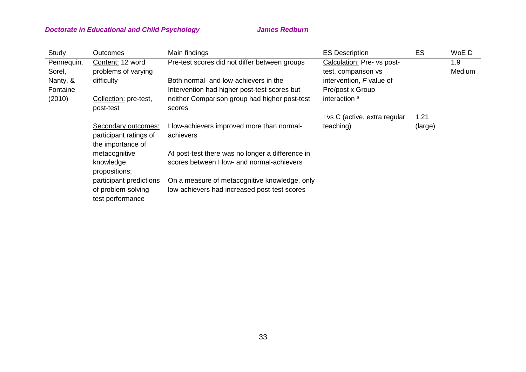| Study                | <b>Outcomes</b>                                                    | Main findings                                           | <b>ES Description</b>                             | ES      | WoE D         |
|----------------------|--------------------------------------------------------------------|---------------------------------------------------------|---------------------------------------------------|---------|---------------|
| Pennequin,<br>Sorel, | Content: 12 word<br>problems of varying                            | Pre-test scores did not differ between groups           | Calculation: Pre- vs post-<br>test, comparison vs |         | 1.9<br>Medium |
| Nanty, &             | difficulty                                                         | Both normal- and low-achievers in the                   | intervention, F value of                          |         |               |
| Fontaine             |                                                                    | Intervention had higher post-test scores but            | Pre/post x Group                                  |         |               |
| (2010)               | Collection: pre-test,<br>post-test                                 | neither Comparison group had higher post-test<br>scores | interaction <sup>a</sup>                          |         |               |
|                      |                                                                    |                                                         | I vs C (active, extra regular                     | 1.21    |               |
|                      | Secondary outcomes:<br>participant ratings of<br>the importance of | I low-achievers improved more than normal-<br>achievers | teaching)                                         | (large) |               |
|                      | metacognitive                                                      | At post-test there was no longer a difference in        |                                                   |         |               |
|                      | knowledge<br>propositions;                                         | scores between I low- and normal-achievers              |                                                   |         |               |
|                      | participant predictions                                            | On a measure of metacognitive knowledge, only           |                                                   |         |               |
|                      | of problem-solving<br>test performance                             | low-achievers had increased post-test scores            |                                                   |         |               |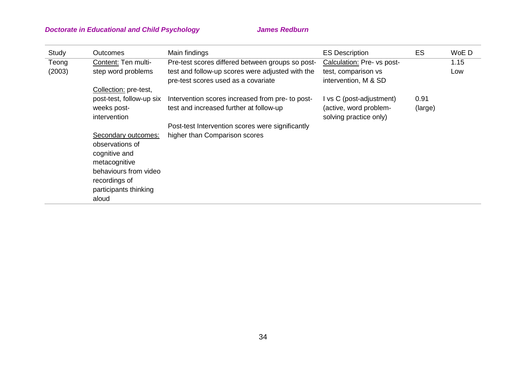| Study  | <b>Outcomes</b>          | Main findings                                    | <b>ES Description</b>      | ES      | WoE D |
|--------|--------------------------|--------------------------------------------------|----------------------------|---------|-------|
| Teong  | Content: Ten multi-      | Pre-test scores differed between groups so post- | Calculation: Pre- vs post- |         | 1.15  |
| (2003) | step word problems       | test and follow-up scores were adjusted with the | test, comparison vs        |         | Low   |
|        |                          | pre-test scores used as a covariate              | intervention, M & SD       |         |       |
|        | Collection: pre-test,    |                                                  |                            |         |       |
|        | post-test, follow-up six | Intervention scores increased from pre- to post- | I vs C (post-adjustment)   | 0.91    |       |
|        | weeks post-              | test and increased further at follow-up          | (active, word problem-     | (large) |       |
|        | intervention             |                                                  | solving practice only)     |         |       |
|        |                          | Post-test Intervention scores were significantly |                            |         |       |
|        | Secondary outcomes:      | higher than Comparison scores                    |                            |         |       |
|        | observations of          |                                                  |                            |         |       |
|        | cognitive and            |                                                  |                            |         |       |
|        | metacognitive            |                                                  |                            |         |       |
|        | behaviours from video    |                                                  |                            |         |       |
|        | recordings of            |                                                  |                            |         |       |
|        | participants thinking    |                                                  |                            |         |       |
|        | aloud                    |                                                  |                            |         |       |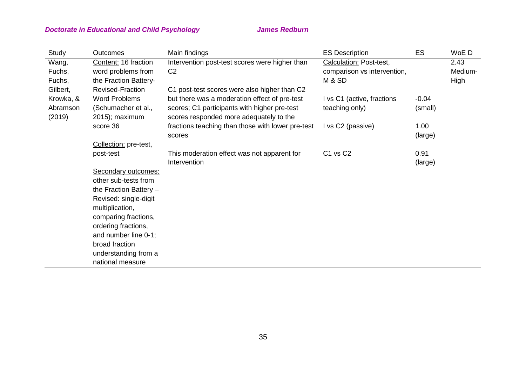| Study              | <b>Outcomes</b>                       | Main findings                                                                           | <b>ES Description</b>       | ES      | WoE D   |
|--------------------|---------------------------------------|-----------------------------------------------------------------------------------------|-----------------------------|---------|---------|
| Wang,              | Content: 16 fraction                  | Intervention post-test scores were higher than                                          | Calculation: Post-test,     |         | 2.43    |
| Fuchs,             | word problems from                    | C <sub>2</sub>                                                                          | comparison vs intervention, |         | Medium- |
| Fuchs,             | the Fraction Battery-                 |                                                                                         | M & SD                      |         | High    |
| Gilbert,           | <b>Revised-Fraction</b>               | C1 post-test scores were also higher than C2                                            |                             |         |         |
| Krowka, &          | <b>Word Problems</b>                  | but there was a moderation effect of pre-test                                           | I vs C1 (active, fractions  | $-0.04$ |         |
| Abramson<br>(2019) | (Schumacher et al.,<br>2015); maximum | scores; C1 participants with higher pre-test<br>scores responded more adequately to the | teaching only)              | (small) |         |
|                    | score 36                              | fractions teaching than those with lower pre-test                                       | I vs C2 (passive)           | 1.00    |         |
|                    |                                       | scores                                                                                  |                             | (large) |         |
|                    | Collection: pre-test,                 |                                                                                         |                             |         |         |
|                    | post-test                             | This moderation effect was not apparent for                                             | C1 vs C2                    | 0.91    |         |
|                    |                                       | Intervention                                                                            |                             | (large) |         |
|                    | Secondary outcomes:                   |                                                                                         |                             |         |         |
|                    | other sub-tests from                  |                                                                                         |                             |         |         |
|                    | the Fraction Battery $-$              |                                                                                         |                             |         |         |
|                    | Revised: single-digit                 |                                                                                         |                             |         |         |
|                    | multiplication,                       |                                                                                         |                             |         |         |
|                    | comparing fractions,                  |                                                                                         |                             |         |         |
|                    | ordering fractions,                   |                                                                                         |                             |         |         |
|                    | and number line 0-1;                  |                                                                                         |                             |         |         |
|                    | broad fraction                        |                                                                                         |                             |         |         |
|                    | understanding from a                  |                                                                                         |                             |         |         |
|                    | national measure                      |                                                                                         |                             |         |         |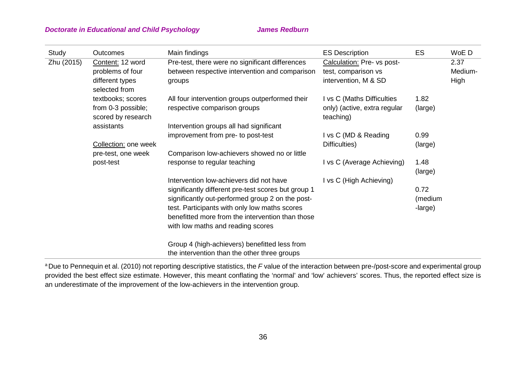| Study      | Outcomes                                 | Main findings                                                                                     | <b>ES Description</b>                             | ES              | WoE D           |
|------------|------------------------------------------|---------------------------------------------------------------------------------------------------|---------------------------------------------------|-----------------|-----------------|
| Zhu (2015) | Content: 12 word<br>problems of four     | Pre-test, there were no significant differences<br>between respective intervention and comparison | Calculation: Pre- vs post-<br>test, comparison vs |                 | 2.37<br>Medium- |
|            | different types<br>selected from         | groups                                                                                            | intervention, M & SD                              |                 | High            |
|            | textbooks; scores                        | All four intervention groups outperformed their                                                   | I vs C (Maths Difficulties                        | 1.82            |                 |
|            | from 0-3 possible;<br>scored by research | respective comparison groups                                                                      | only) (active, extra regular<br>teaching)         | (large)         |                 |
|            | assistants                               | Intervention groups all had significant                                                           |                                                   |                 |                 |
|            |                                          | improvement from pre- to post-test                                                                | I vs C (MD & Reading                              | 0.99            |                 |
|            | Collection: one week                     |                                                                                                   | Difficulties)                                     | (large)         |                 |
|            | pre-test, one week                       | Comparison low-achievers showed no or little                                                      |                                                   |                 |                 |
|            | post-test                                | response to regular teaching                                                                      | I vs C (Average Achieving)                        | 1.48<br>(large) |                 |
|            |                                          | Intervention low-achievers did not have                                                           | I vs C (High Achieving)                           |                 |                 |
|            |                                          | significantly different pre-test scores but group 1                                               |                                                   | 0.72            |                 |
|            |                                          | significantly out-performed group 2 on the post-                                                  |                                                   | (medium         |                 |
|            |                                          | test. Participants with only low maths scores                                                     |                                                   | -large)         |                 |
|            |                                          | benefitted more from the intervention than those<br>with low maths and reading scores             |                                                   |                 |                 |
|            |                                          |                                                                                                   |                                                   |                 |                 |
|            |                                          | Group 4 (high-achievers) benefitted less from                                                     |                                                   |                 |                 |
|            |                                          | the intervention than the other three groups                                                      |                                                   |                 |                 |

<sup>a</sup> Due to Pennequin et al. (2010) not reporting descriptive statistics, the F value of the interaction between pre-/post-score and experimental group provided the best effect size estimate. However, this meant conflating the 'normal' and 'low' achievers' scores. Thus, the reported effect size is an underestimate of the improvement of the low-achievers in the intervention group.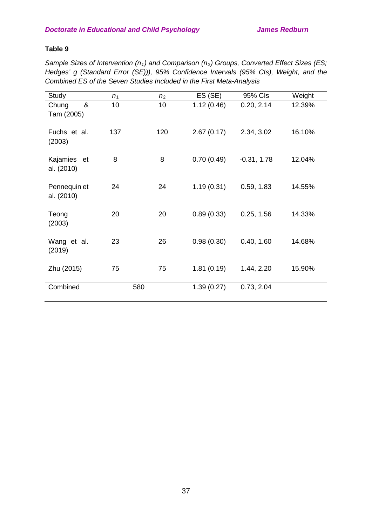## **Table 9**

Sample Sizes of Intervention (n<sub>1</sub>) and Comparison (n<sub>2</sub>) Groups, Converted Effect Sizes (ES; *Hedges' g (Standard Error (SE))), 95% Confidence Intervals (95% CIs), Weight, and the Combined ES of the Seven Studies Included in the First Meta-Analysis*

| Study                      | n <sub>1</sub> | n <sub>2</sub> | ES (SE)    | 95% Cls       | Weight |
|----------------------------|----------------|----------------|------------|---------------|--------|
| &<br>Chung<br>Tam (2005)   | 10             | 10             | 1.12(0.46) | 0.20, 2.14    | 12.39% |
| Fuchs et al.<br>(2003)     | 137            | 120            | 2.67(0.17) | 2.34, 3.02    | 16.10% |
| Kajamies et<br>al. (2010)  | 8              | 8              | 0.70(0.49) | $-0.31, 1.78$ | 12.04% |
| Pennequin et<br>al. (2010) | 24             | 24             | 1.19(0.31) | 0.59, 1.83    | 14.55% |
| Teong<br>(2003)            | 20             | 20             | 0.89(0.33) | 0.25, 1.56    | 14.33% |
| Wang et al.<br>(2019)      | 23             | 26             | 0.98(0.30) | 0.40, 1.60    | 14.68% |
| Zhu (2015)                 | 75             | 75             | 1.81(0.19) | 1.44, 2.20    | 15.90% |
| Combined                   | 580            |                | 1.39(0.27) | 0.73, 2.04    |        |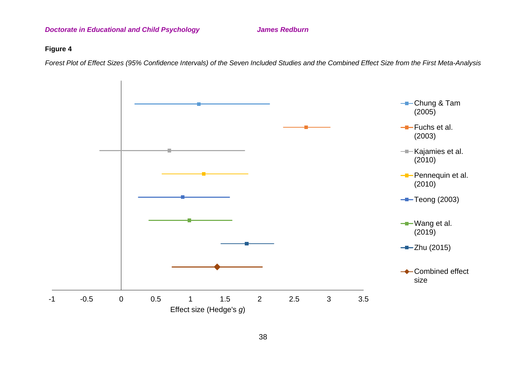### **Figure 4**

*Forest Plot of Effect Sizes (95% Confidence Intervals) of the Seven Included Studies and the Combined Effect Size from the First Meta-Analysis*

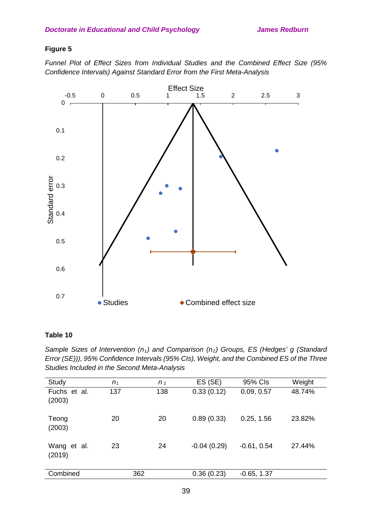## **Figure 5**

*Funnel Plot of Effect Sizes from Individual Studies and the Combined Effect Size (95% Confidence Intervals) Against Standard Error from the First Meta-Analysis*



## **Table 10**

*Sample Sizes of Intervention (n1) and Comparison (n2) Groups, ES (Hedges' g (Standard Error (SE))), 95% Confidence Intervals (95% CIs), Weight, and the Combined ES of the Three Studies Included in the Second Meta-Analysis*

| Study                  | n <sub>1</sub> | n <sub>2</sub> | ES (SE)       | 95% Cls       | Weight |
|------------------------|----------------|----------------|---------------|---------------|--------|
| Fuchs et al.<br>(2003) | 137            | 138            | 0.33(0.12)    | 0.09, 0.57    | 48.74% |
| Teong<br>(2003)        | 20             | 20             | 0.89(0.33)    | 0.25, 1.56    | 23.82% |
| Wang et al.<br>(2019)  | 23             | 24             | $-0.04(0.29)$ | $-0.61, 0.54$ | 27.44% |
| Combined               |                | 362            | 0.36(0.23)    | $-0.65, 1.37$ |        |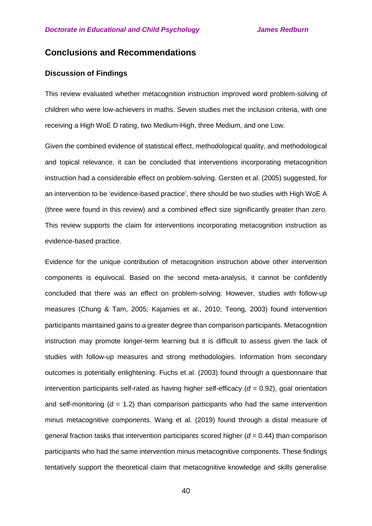## **Conclusions and Recommendations**

## **Discussion of Findings**

This review evaluated whether metacognition instruction improved word problem-solving of children who were low-achievers in maths. Seven studies met the inclusion criteria, with one receiving a High WoE D rating, two Medium-High, three Medium, and one Low.

Given the combined evidence of statistical effect, methodological quality, and methodological and topical relevance, it can be concluded that interventions incorporating metacognition instruction had a considerable effect on problem-solving. Gersten et al. (2005) suggested, for an intervention to be 'evidence-based practice', there should be two studies with High WoE A (three were found in this review) and a combined effect size significantly greater than zero. This review supports the claim for interventions incorporating metacognition instruction as evidence-based practice.

Evidence for the unique contribution of metacognition instruction above other intervention components is equivocal. Based on the second meta-analysis, it cannot be confidently concluded that there was an effect on problem-solving. However, studies with follow-up measures (Chung & Tam, 2005; Kajamies et al., 2010; Teong, 2003) found intervention participants maintained gains to a greater degree than comparison participants. Metacognition instruction may promote longer-term learning but it is difficult to assess given the lack of studies with follow-up measures and strong methodologies. Information from secondary outcomes is potentially enlightening. Fuchs et al. (2003) found through a questionnaire that intervention participants self-rated as having higher self-efficacy  $(d = 0.92)$ , goal orientation and self-monitoring  $(d = 1.2)$  than comparison participants who had the same intervention minus metacognitive components. Wang et al. (2019) found through a distal measure of general fraction tasks that intervention participants scored higher (*d* = 0.44) than comparison participants who had the same intervention minus metacognitive components. These findings tentatively support the theoretical claim that metacognitive knowledge and skills generalise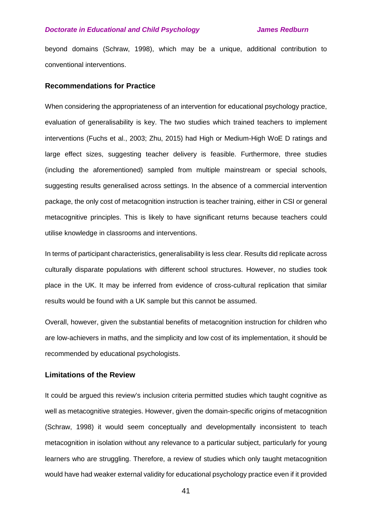beyond domains (Schraw, 1998), which may be a unique, additional contribution to conventional interventions.

#### **Recommendations for Practice**

When considering the appropriateness of an intervention for educational psychology practice, evaluation of generalisability is key. The two studies which trained teachers to implement interventions (Fuchs et al., 2003; Zhu, 2015) had High or Medium-High WoE D ratings and large effect sizes, suggesting teacher delivery is feasible. Furthermore, three studies (including the aforementioned) sampled from multiple mainstream or special schools, suggesting results generalised across settings. In the absence of a commercial intervention package, the only cost of metacognition instruction is teacher training, either in CSI or general metacognitive principles. This is likely to have significant returns because teachers could utilise knowledge in classrooms and interventions.

In terms of participant characteristics, generalisability is less clear. Results did replicate across culturally disparate populations with different school structures. However, no studies took place in the UK. It may be inferred from evidence of cross-cultural replication that similar results would be found with a UK sample but this cannot be assumed.

Overall, however, given the substantial benefits of metacognition instruction for children who are low-achievers in maths, and the simplicity and low cost of its implementation, it should be recommended by educational psychologists.

#### **Limitations of the Review**

It could be argued this review's inclusion criteria permitted studies which taught cognitive as well as metacognitive strategies. However, given the domain-specific origins of metacognition (Schraw, 1998) it would seem conceptually and developmentally inconsistent to teach metacognition in isolation without any relevance to a particular subject, particularly for young learners who are struggling. Therefore, a review of studies which only taught metacognition would have had weaker external validity for educational psychology practice even if it provided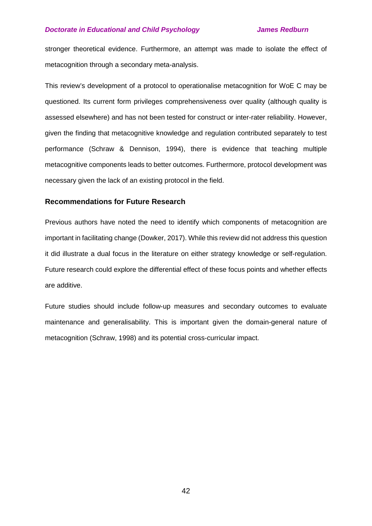stronger theoretical evidence. Furthermore, an attempt was made to isolate the effect of metacognition through a secondary meta-analysis.

This review's development of a protocol to operationalise metacognition for WoE C may be questioned. Its current form privileges comprehensiveness over quality (although quality is assessed elsewhere) and has not been tested for construct or inter-rater reliability. However, given the finding that metacognitive knowledge and regulation contributed separately to test performance (Schraw & Dennison, 1994), there is evidence that teaching multiple metacognitive components leads to better outcomes. Furthermore, protocol development was necessary given the lack of an existing protocol in the field.

#### **Recommendations for Future Research**

Previous authors have noted the need to identify which components of metacognition are important in facilitating change (Dowker, 2017). While this review did not address this question it did illustrate a dual focus in the literature on either strategy knowledge or self-regulation. Future research could explore the differential effect of these focus points and whether effects are additive.

Future studies should include follow-up measures and secondary outcomes to evaluate maintenance and generalisability. This is important given the domain-general nature of metacognition (Schraw, 1998) and its potential cross-curricular impact.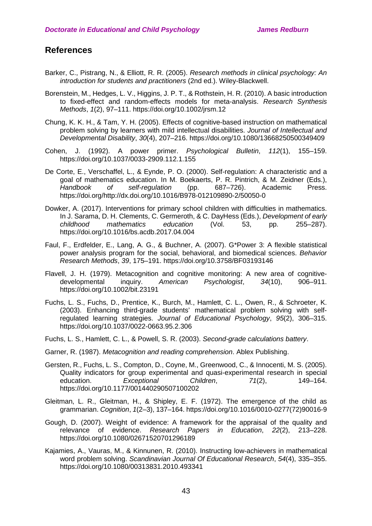# **References**

- Barker, C., Pistrang, N., & Elliott, R. R. (2005). *Research methods in clinical psychology: An introduction for students and practitioners* (2nd ed.). Wiley-Blackwell.
- Borenstein, M., Hedges, L. V., Higgins, J. P. T., & Rothstein, H. R. (2010). A basic introduction to fixed-effect and random-effects models for meta-analysis. *Research Synthesis Methods*, *1*(2), 97–111. https://doi.org/10.1002/jrsm.12
- Chung, K. K. H., & Tam, Y. H. (2005). Effects of cognitive-based instruction on mathematical problem solving by learners with mild intellectual disabilities. *Journal of Intellectual and Developmental Disability*, *30*(4), 207–216. https://doi.org/10.1080/13668250500349409
- Cohen, J. (1992). A power primer. *Psychological Bulletin*, *112*(1), 155–159. https://doi.org/10.1037/0033-2909.112.1.155
- De Corte, E., Verschaffel, L., & Eynde, P. O. (2000). Self-regulation: A characteristic and a goal of mathematics education. In M. Boekaerts, P. R. Pintrich, & M. Zeidner (Eds.), *Handbook of self-regulation* (pp. 687–726). Academic Press. https://doi.org/http://dx.doi.org/10.1016/B978-012109890-2/50050-0
- Dowker, A. (2017). Interventions for primary school children with difficulties in mathematics. In J. Sarama, D. H. Clements, C. Germeroth, & C. DayHess (Eds.), *Development of early childhood mathematics education* (Vol. 53, pp. 255–287). https://doi.org/10.1016/bs.acdb.2017.04.004
- Faul, F., Erdfelder, E., Lang, A. G., & Buchner, A. (2007). G\*Power 3: A flexible statistical power analysis program for the social, behavioral, and biomedical sciences. *Behavior Research Methods*, *39*, 175–191. https://doi.org/10.3758/BF03193146
- Flavell, J. H. (1979). Metacognition and cognitive monitoring: A new area of cognitivedevelopmental inquiry. *American Psychologist*, *34*(10), 906–911. https://doi.org/10.1002/bit.23191
- Fuchs, L. S., Fuchs, D., Prentice, K., Burch, M., Hamlett, C. L., Owen, R., & Schroeter, K. (2003). Enhancing third-grade students' mathematical problem solving with selfregulated learning strategies. *Journal of Educational Psychology*, *95*(2), 306–315. https://doi.org/10.1037/0022-0663.95.2.306
- Fuchs, L. S., Hamlett, C. L., & Powell, S. R. (2003). *Second-grade calculations battery*.
- Garner, R. (1987). *Metacognition and reading comprehension*. Ablex Publishing.
- Gersten, R., Fuchs, L. S., Compton, D., Coyne, M., Greenwood, C., & Innocenti, M. S. (2005). Quality indicators for group experimental and quasi-experimental research in special education. *Exceptional Children*, *71*(2), 149–164. https://doi.org/10.1177/001440290507100202
- Gleitman, L. R., Gleitman, H., & Shipley, E. F. (1972). The emergence of the child as grammarian. *Cognition*, *1*(2–3), 137–164. https://doi.org/10.1016/0010-0277(72)90016-9
- Gough, D. (2007). Weight of evidence: A framework for the appraisal of the quality and relevance of evidence. *Research Papers in Education*, *22*(2), 213–228. https://doi.org/10.1080/02671520701296189
- Kajamies, A., Vauras, M., & Kinnunen, R. (2010). Instructing low-achievers in mathematical word problem solving. *Scandinavian Journal Of Educational Research*, *54*(4), 335–355. https://doi.org/10.1080/00313831.2010.493341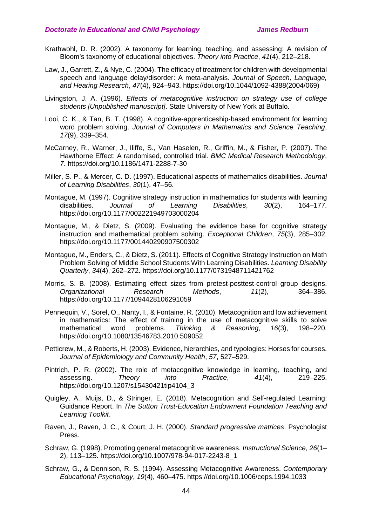- Krathwohl, D. R. (2002). A taxonomy for learning, teaching, and assessing: A revision of Bloom's taxonomy of educational objectives. *Theory into Practice*, *41*(4), 212–218.
- Law, J., Garrett, Z., & Nye, C. (2004). The efficacy of treatment for children with developmental speech and language delay/disorder: A meta-analysis. *Journal of Speech, Language, and Hearing Research*, *47*(4), 924–943. https://doi.org/10.1044/1092-4388(2004/069)
- Livingston, J. A. (1996). *Effects of metacognitive instruction on strategy use of college students [Unpublished manuscript]*. State University of New York at Buffalo.
- Looi, C. K., & Tan, B. T. (1998). A cognitive-apprenticeship-based environment for learning word problem solving. *Journal of Computers in Mathematics and Science Teaching*, *17*(9), 339–354.
- McCarney, R., Warner, J., Iliffe, S., Van Haselen, R., Griffin, M., & Fisher, P. (2007). The Hawthorne Effect: A randomised, controlled trial. *BMC Medical Research Methodology*, *7*. https://doi.org/10.1186/1471-2288-7-30
- Miller, S. P., & Mercer, C. D. (1997). Educational aspects of mathematics disabilities. *Journal of Learning Disabilities*, *30*(1), 47–56.
- Montague, M. (1997). Cognitive strategy instruction in mathematics for students with learning disabilities. *Journal of Learning Disabilities*, *30*(2), 164–177. https://doi.org/10.1177/002221949703000204
- Montague, M., & Dietz, S. (2009). Evaluating the evidence base for cognitive strategy instruction and mathematical problem solving. *Exceptional Children*, *75*(3), 285–302. https://doi.org/10.1177/001440290907500302
- Montague, M., Enders, C., & Dietz, S. (2011). Effects of Cognitive Strategy Instruction on Math Problem Solving of Middle School Students With Learning Disabilities. *Learning Disability Quarterly*, *34*(4), 262–272. https://doi.org/10.1177/0731948711421762
- Morris, S. B. (2008). Estimating effect sizes from pretest-posttest-control group designs.<br>Organizational Research Methods. 11(2), 364–386. **Organizational Research Methods, 11(2),** https://doi.org/10.1177/1094428106291059
- Pennequin, V., Sorel, O., Nanty, I., & Fontaine, R. (2010). Metacognition and low achievement in mathematics: The effect of training in the use of metacognitive skills to solve mathematical word problems. *Thinking & Reasoning*, *16*(3), 198–220. https://doi.org/10.1080/13546783.2010.509052
- Petticrew, M., & Roberts, H. (2003). Evidence, hierarchies, and typologies: Horses for courses. *Journal of Epidemiology and Community Health*, *57*, 527–529.
- Pintrich, P. R. (2002). The role of metacognitive knowledge in learning, teaching, and assessing. *Theory into Practice*, *41*(4), 219–225. https://doi.org/10.1207/s15430421tip4104\_3
- Quigley, A., Muijs, D., & Stringer, E. (2018). Metacognition and Self-regulated Learning: Guidance Report. In *The Sutton Trust-Education Endowment Foundation Teaching and Learning Toolkit*.
- Raven, J., Raven, J. C., & Court, J. H. (2000). *Standard progressive matrices*. Psychologist Press.
- Schraw, G. (1998). Promoting general metacognitive awareness. *Instructional Science*, *26*(1– 2), 113–125. https://doi.org/10.1007/978-94-017-2243-8\_1
- Schraw, G., & Dennison, R. S. (1994). Assessing Metacognitive Awareness. *Contemporary Educational Psychology*, *19*(4), 460–475. https://doi.org/10.1006/ceps.1994.1033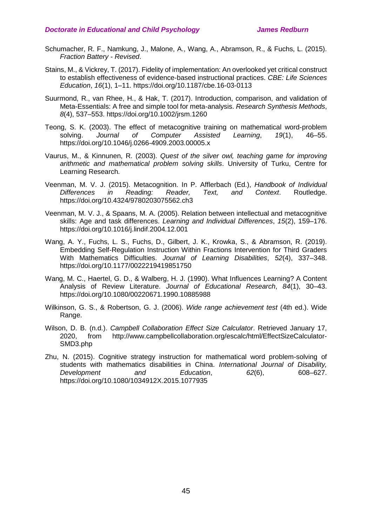- Schumacher, R. F., Namkung, J., Malone, A., Wang, A., Abramson, R., & Fuchs, L. (2015). *Fraction Battery - Revised*.
- Stains, M., & Vickrey, T. (2017). Fidelity of implementation: An overlooked yet critical construct to establish effectiveness of evidence-based instructional practices. *CBE: Life Sciences Education*, *16*(1), 1–11. https://doi.org/10.1187/cbe.16-03-0113
- Suurmond, R., van Rhee, H., & Hak, T. (2017). Introduction, comparison, and validation of Meta-Essentials: A free and simple tool for meta-analysis. *Research Synthesis Methods*, *8*(4), 537–553. https://doi.org/10.1002/jrsm.1260
- Teong, S. K. (2003). The effect of metacognitive training on mathematical word-problem solving. *Journal of Computer Assisted Learning*, *19*(1), 46–55. https://doi.org/10.1046/j.0266-4909.2003.00005.x
- Vaurus, M., & Kinnunen, R. (2003). *Quest of the silver owl, teaching game for improving arithmetic and mathematical problem solving skills*. University of Turku, Centre for Learning Research.
- Veenman, M. V. J. (2015). Metacognition. In P. Afflerbach (Ed.), *Handbook of Individual Differences in Reading: Reader, Text, and Context*. Routledge. https://doi.org/10.4324/9780203075562.ch3
- Veenman, M. V. J., & Spaans, M. A. (2005). Relation between intellectual and metacognitive skills: Age and task differences. *Learning and Individual Differences*, *15*(2), 159–176. https://doi.org/10.1016/j.lindif.2004.12.001
- Wang, A. Y., Fuchs, L. S., Fuchs, D., Gilbert, J. K., Krowka, S., & Abramson, R. (2019). Embedding Self-Regulation Instruction Within Fractions Intervention for Third Graders With Mathematics Difficulties. *Journal of Learning Disabilities*, *52*(4), 337–348. https://doi.org/10.1177/0022219419851750
- Wang, M. C., Haertel, G. D., & Walberg, H. J. (1990). What Influences Learning? A Content Analysis of Review Literature. *Journal of Educational Research*, *84*(1), 30–43. https://doi.org/10.1080/00220671.1990.10885988
- Wilkinson, G. S., & Robertson, G. J. (2006). *Wide range achievement test* (4th ed.). Wide Range.
- Wilson, D. B. (n.d.). *Campbell Collaboration Effect Size Calculator*. Retrieved January 17, 2020, from http://www.campbellcollaboration.org/escalc/html/EffectSizeCalculator-SMD3.php
- Zhu, N. (2015). Cognitive strategy instruction for mathematical word problem-solving of students with mathematics disabilities in China. *International Journal of Disability, Development and Education*, *62*(6), 608–627. https://doi.org/10.1080/1034912X.2015.1077935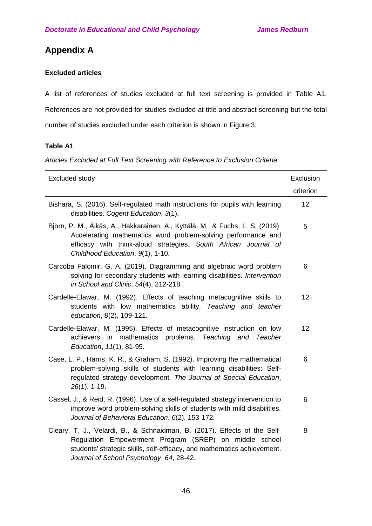# **Appendix A**

## **Excluded articles**

A list of references of studies excluded at full text screening is provided in Table A1. References are not provided for studies excluded at title and abstract screening but the total number of studies excluded under each criterion is shown in Figure 3.

## **Table A1**

*Articles Excluded at Full Text Screening with Reference to Exclusion Criteria*

| Excluded study                                                                                                                                                                                                                                             | Exclusion |
|------------------------------------------------------------------------------------------------------------------------------------------------------------------------------------------------------------------------------------------------------------|-----------|
|                                                                                                                                                                                                                                                            | criterion |
| Bishara, S. (2016). Self-regulated math instructions for pupils with learning<br>disabilities. Cogent Education, 3(1).                                                                                                                                     | 12        |
| Björn, P. M., Äikäs, A., Hakkarainen, A., Kyttälä, M., & Fuchs, L. S. (2019).<br>Accelerating mathematics word problem-solving performance and<br>efficacy with think-aloud strategies. South African Journal of<br>Childhood Education, 9(1), 1-10.       | 5         |
| Carcoba Falomir, G. A. (2019). Diagramming and algebraic word problem<br>solving for secondary students with learning disabilities. Intervention<br>in School and Clinic, 54(4), 212-218.                                                                  | 6         |
| Cardelle-Elawar, M. (1992). Effects of teaching metacognitive skills to<br>students with low mathematics ability. Teaching and teacher<br>education, 8(2), 109-121.                                                                                        | 12        |
| Cardelle-Elawar, M. (1995). Effects of metacognitive instruction on low<br>achievers in mathematics problems. Teaching and Teacher<br>Education, 11(1), 81-95.                                                                                             | 12        |
| Case, L. P., Harris, K. R., & Graham, S. (1992). Improving the mathematical<br>problem-solving skills of students with learning disabilities: Self-<br>regulated strategy development. The Journal of Special Education,<br>$26(1)$ , 1-19.                | 6         |
| Cassel, J., & Reid, R. (1996). Use of a self-regulated strategy intervention to<br>improve word problem-solving skills of students with mild disabilities.<br>Journal of Behavioral Education, 6(2), 153-172.                                              | 6         |
| Cleary, T. J., Velardi, B., & Schnaidman, B. (2017). Effects of the Self-<br>Regulation Empowerment Program (SREP) on middle school<br>students' strategic skills, self-efficacy, and mathematics achievement.<br>Journal of School Psychology, 64, 28-42. | 8         |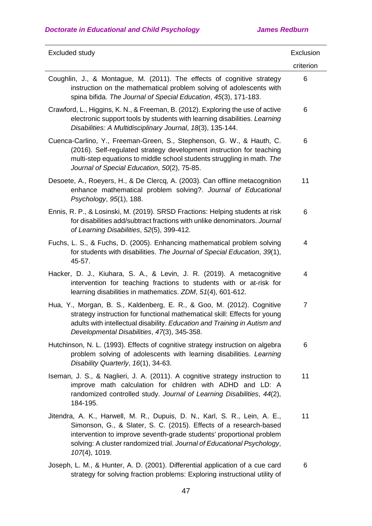| Excluded study                                                                                                                                                                                                                                                                                                     | Exclusion      |
|--------------------------------------------------------------------------------------------------------------------------------------------------------------------------------------------------------------------------------------------------------------------------------------------------------------------|----------------|
|                                                                                                                                                                                                                                                                                                                    | criterion      |
| Coughlin, J., & Montague, M. (2011). The effects of cognitive strategy<br>instruction on the mathematical problem solving of adolescents with<br>spina bifida. The Journal of Special Education, 45(3), 171-183.                                                                                                   | 6              |
| Crawford, L., Higgins, K. N., & Freeman, B. (2012). Exploring the use of active<br>electronic support tools by students with learning disabilities. Learning<br>Disabilities: A Multidisciplinary Journal, 18(3), 135-144.                                                                                         | 6              |
| Cuenca-Carlino, Y., Freeman-Green, S., Stephenson, G. W., & Hauth, C.<br>(2016). Self-regulated strategy development instruction for teaching<br>multi-step equations to middle school students struggling in math. The<br>Journal of Special Education, 50(2), 75-85.                                             | 6              |
| Desoete, A., Roeyers, H., & De Clercq, A. (2003). Can offline metacognition<br>enhance mathematical problem solving?. Journal of Educational<br>Psychology, 95(1), 188.                                                                                                                                            | 11             |
| Ennis, R. P., & Losinski, M. (2019). SRSD Fractions: Helping students at risk<br>for disabilities add/subtract fractions with unlike denominators. Journal<br>of Learning Disabilities, 52(5), 399-412.                                                                                                            | 6              |
| Fuchs, L. S., & Fuchs, D. (2005). Enhancing mathematical problem solving<br>for students with disabilities. The Journal of Special Education, 39(1),<br>45-57.                                                                                                                                                     | 4              |
| Hacker, D. J., Kiuhara, S. A., & Levin, J. R. (2019). A metacognitive<br>intervention for teaching fractions to students with or at-risk for<br>learning disabilities in mathematics. ZDM, 51(4), 601-612.                                                                                                         | 4              |
| Hua, Y., Morgan, B. S., Kaldenberg, E. R., & Goo, M. (2012). Cognitive<br>strategy instruction for functional mathematical skill: Effects for young<br>adults with intellectual disability. Education and Training in Autism and<br>Developmental Disabilities, 47(3), 345-358.                                    | $\overline{7}$ |
| Hutchinson, N. L. (1993). Effects of cognitive strategy instruction on algebra<br>problem solving of adolescents with learning disabilities. Learning<br>Disability Quarterly, 16(1), 34-63.                                                                                                                       | 6              |
| Iseman, J. S., & Naglieri, J. A. (2011). A cognitive strategy instruction to<br>improve math calculation for children with ADHD and LD: A<br>randomized controlled study. Journal of Learning Disabilities, 44(2),<br>184-195.                                                                                     | 11             |
| Jitendra, A. K., Harwell, M. R., Dupuis, D. N., Karl, S. R., Lein, A. E.,<br>Simonson, G., & Slater, S. C. (2015). Effects of a research-based<br>intervention to improve seventh-grade students' proportional problem<br>solving: A cluster randomized trial. Journal of Educational Psychology,<br>107(4), 1019. | 11             |
| Joseph, L. M., & Hunter, A. D. (2001). Differential application of a cue card<br>strategy for solving fraction problems: Exploring instructional utility of                                                                                                                                                        | 6              |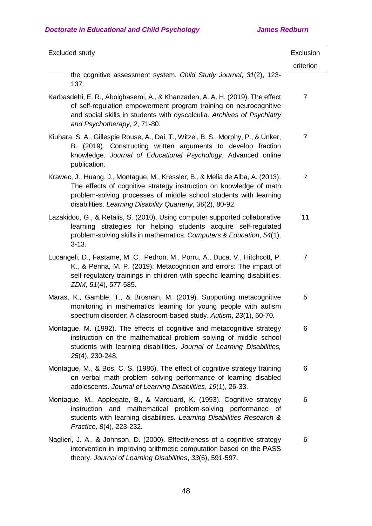| Excluded study                                                                                                                                                                                                                                                                          | Exclusion      |
|-----------------------------------------------------------------------------------------------------------------------------------------------------------------------------------------------------------------------------------------------------------------------------------------|----------------|
|                                                                                                                                                                                                                                                                                         | criterion      |
| the cognitive assessment system. Child Study Journal, 31(2), 123-<br>137.                                                                                                                                                                                                               |                |
| Karbasdehi, E. R., Abolghasemi, A., & Khanzadeh, A. A. H. (2019). The effect<br>of self-regulation empowerment program training on neurocognitive<br>and social skills in students with dyscalculia. Archives of Psychiatry<br>and Psychotherapy, 2, 71-80.                             | $\overline{7}$ |
| Kiuhara, S. A., Gillespie Rouse, A., Dai, T., Witzel, B. S., Morphy, P., & Unker,<br>B. (2019). Constructing written arguments to develop fraction<br>knowledge. Journal of Educational Psychology. Advanced online<br>publication.                                                     | $\overline{7}$ |
| Krawec, J., Huang, J., Montague, M., Kressler, B., & Melia de Alba, A. (2013).<br>The effects of cognitive strategy instruction on knowledge of math<br>problem-solving processes of middle school students with learning<br>disabilities. Learning Disability Quarterly, 36(2), 80-92. | 7              |
| Lazakidou, G., & Retalis, S. (2010). Using computer supported collaborative<br>learning strategies for helping students acquire self-regulated<br>problem-solving skills in mathematics. Computers & Education, 54(1),<br>$3 - 13.$                                                     | 11             |
| Lucangeli, D., Fastame, M. C., Pedron, M., Porru, A., Duca, V., Hitchcott, P.<br>K., & Penna, M. P. (2019). Metacognition and errors: The impact of<br>self-regulatory trainings in children with specific learning disabilities.<br>ZDM, 51(4), 577-585.                               | $\overline{7}$ |
| Maras, K., Gamble, T., & Brosnan, M. (2019). Supporting metacognitive<br>monitoring in mathematics learning for young people with autism<br>spectrum disorder: A classroom-based study. Autism, 23(1), 60-70.                                                                           | 5              |
| Montague, M. (1992). The effects of cognitive and metacognitive strategy<br>instruction on the mathematical problem solving of middle school<br>students with learning disabilities. Journal of Learning Disabilities,<br>25(4), 230-248.                                               | 6              |
| Montague, M., & Bos, C. S. (1986). The effect of cognitive strategy training<br>on verbal math problem solving performance of learning disabled<br>adolescents. Journal of Learning Disabilities, 19(1), 26-33.                                                                         | 6              |
| Montague, M., Applegate, B., & Marquard, K. (1993). Cognitive strategy<br>instruction and mathematical problem-solving performance of<br>students with learning disabilities. Learning Disabilities Research &<br>Practice, 8(4), 223-232.                                              | 6              |
| Naglieri, J. A., & Johnson, D. (2000). Effectiveness of a cognitive strategy<br>intervention in improving arithmetic computation based on the PASS<br>theory. Journal of Learning Disabilities, 33(6), 591-597.                                                                         | 6              |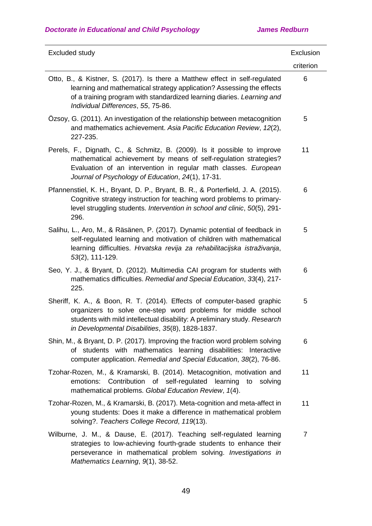| Excluded study                                                                                                                                                                                                                                                           | Exclusion      |
|--------------------------------------------------------------------------------------------------------------------------------------------------------------------------------------------------------------------------------------------------------------------------|----------------|
|                                                                                                                                                                                                                                                                          | criterion      |
| Otto, B., & Kistner, S. (2017). Is there a Matthew effect in self-regulated<br>learning and mathematical strategy application? Assessing the effects<br>of a training program with standardized learning diaries. Learning and<br>Individual Differences, 55, 75-86.     | 6              |
| Ozsoy, G. (2011). An investigation of the relationship between metacognition<br>and mathematics achievement. Asia Pacific Education Review, 12(2),<br>227-235.                                                                                                           | 5              |
| Perels, F., Dignath, C., & Schmitz, B. (2009). Is it possible to improve<br>mathematical achievement by means of self-regulation strategies?<br>Evaluation of an intervention in regular math classes. European<br>Journal of Psychology of Education, 24(1), 17-31.     | 11             |
| Pfannenstiel, K. H., Bryant, D. P., Bryant, B. R., & Porterfield, J. A. (2015).<br>Cognitive strategy instruction for teaching word problems to primary-<br>level struggling students. Intervention in school and clinic, 50(5), 291-<br>296.                            | 6              |
| Salihu, L., Aro, M., & Räsänen, P. (2017). Dynamic potential of feedback in<br>self-regulated learning and motivation of children with mathematical<br>learning difficulties. Hrvatska revija za rehabilitacijska istraživanja,<br>53(2), 111-129.                       | 5              |
| Seo, Y. J., & Bryant, D. (2012). Multimedia CAI program for students with<br>mathematics difficulties. Remedial and Special Education, 33(4), 217-<br>225.                                                                                                               | 6              |
| Sheriff, K. A., & Boon, R. T. (2014). Effects of computer-based graphic<br>organizers to solve one-step word problems for middle school<br>students with mild intellectual disability: A preliminary study. Research<br>in Developmental Disabilities, 35(8), 1828-1837. | 5              |
| Shin, M., & Bryant, D. P. (2017). Improving the fraction word problem solving<br>of students with mathematics learning disabilities: Interactive<br>computer application. Remedial and Special Education, 38(2), 76-86.                                                  | 6              |
| Tzohar-Rozen, M., & Kramarski, B. (2014). Metacognition, motivation and<br>emotions: Contribution of self-regulated learning<br>to<br>solving<br>mathematical problems. Global Education Review, 1(4).                                                                   | 11             |
| Tzohar-Rozen, M., & Kramarski, B. (2017). Meta-cognition and meta-affect in<br>young students: Does it make a difference in mathematical problem<br>solving?. Teachers College Record, 119(13).                                                                          | 11             |
| Wilburne, J. M., & Dause, E. (2017). Teaching self-regulated learning<br>strategies to low-achieving fourth-grade students to enhance their<br>perseverance in mathematical problem solving. Investigations in<br>Mathematics Learning, 9(1), 38-52.                     | $\overline{7}$ |
|                                                                                                                                                                                                                                                                          |                |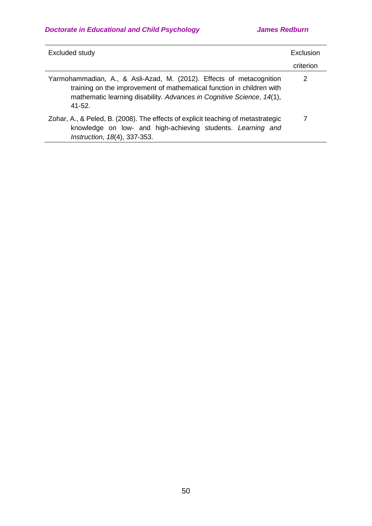| Excluded study                                                                                                                                                                                                                        | Exclusion |
|---------------------------------------------------------------------------------------------------------------------------------------------------------------------------------------------------------------------------------------|-----------|
|                                                                                                                                                                                                                                       | criterion |
| Yarmohammadian, A., & Asli-Azad, M. (2012). Effects of metacognition<br>training on the improvement of mathematical function in children with<br>mathematic learning disability. Advances in Cognitive Science, 14(1),<br>$41 - 52$ . | 2         |
| Zohar, A., & Peled, B. (2008). The effects of explicit teaching of metastrategic<br>knowledge on low- and high-achieving students. Learning and<br>Instruction, 18(4), 337-353.                                                       |           |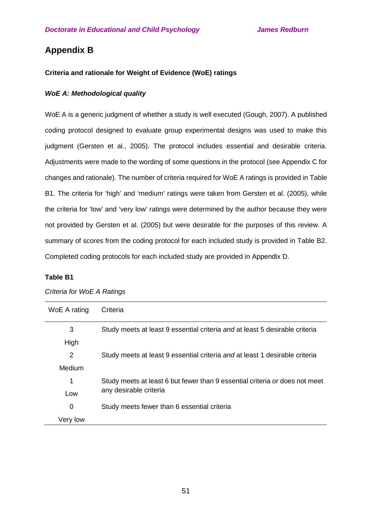# **Appendix B**

## **Criteria and rationale for Weight of Evidence (WoE) ratings**

### *WoE A: Methodological quality*

WoE A is a generic judgment of whether a study is well executed (Gough, 2007). A published coding protocol designed to evaluate group experimental designs was used to make this judgment (Gersten et al., 2005). The protocol includes essential and desirable criteria. Adjustments were made to the wording of some questions in the protocol (see Appendix C for changes and rationale). The number of criteria required for WoE A ratings is provided in Table B1. The criteria for 'high' and 'medium' ratings were taken from Gersten et al. (2005), while the criteria for 'low' and 'very low' ratings were determined by the author because they were not provided by Gersten et al. (2005) but were desirable for the purposes of this review. A summary of scores from the coding protocol for each included study is provided in Table B2. Completed coding protocols for each included study are provided in Appendix D.

### **Table B1**

| WoE A rating | Criteria                                                                    |
|--------------|-----------------------------------------------------------------------------|
| 3            | Study meets at least 9 essential criteria and at least 5 desirable criteria |
| High         |                                                                             |
| 2            | Study meets at least 9 essential criteria and at least 1 desirable criteria |
| Medium       |                                                                             |
| 1            | Study meets at least 6 but fewer than 9 essential criteria or does not meet |
| Low          | any desirable criteria                                                      |
| 0            | Study meets fewer than 6 essential criteria                                 |
| Very low     |                                                                             |

*Criteria for WoE A Ratings*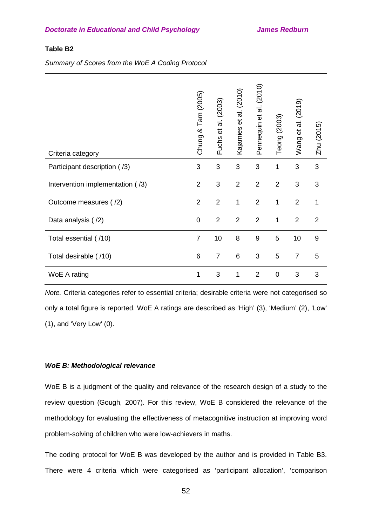### **Table B2**

*Summary of Scores from the WoE A Coding Protocol*

| Criteria category                | Chung & Tam (2005) | Fuchs et al. (2003) | et al. (2010)<br>Kajamies | Pennequin et al. (2010) | Teong (2003)   | Wang et al. (2019) | Zhu (2015)       |
|----------------------------------|--------------------|---------------------|---------------------------|-------------------------|----------------|--------------------|------------------|
| Participant description (/3)     | 3                  | 3                   | 3                         | 3                       | 1              | 3                  | 3                |
| Intervention implementation (/3) | $\overline{2}$     | 3                   | $\overline{2}$            | $\overline{2}$          | $\overline{2}$ | 3                  | 3                |
| Outcome measures (/2)            | $\overline{2}$     | $\overline{2}$      | 1                         | $\overline{2}$          | 1              | $\overline{2}$     | 1                |
| Data analysis (/2)               | $\boldsymbol{0}$   | $\overline{2}$      | $\overline{2}$            | $\overline{2}$          | 1              | $\overline{2}$     | 2                |
| Total essential (/10)            | $\overline{7}$     | 10                  | 8                         | $\boldsymbol{9}$        | 5              | 10                 | $\boldsymbol{9}$ |
| Total desirable (/10)            | $\,6$              | $\overline{7}$      | $6\phantom{1}6$           | 3                       | 5              | $\overline{7}$     | 5                |
| WoE A rating                     | 1                  | 3                   | 1                         | $\overline{2}$          | $\mathbf 0$    | 3                  | 3                |

*Note.* Criteria categories refer to essential criteria; desirable criteria were not categorised so only a total figure is reported. WoE A ratings are described as 'High' (3), 'Medium' (2), 'Low' (1), and 'Very Low' (0).

#### *WoE B: Methodological relevance*

WoE B is a judgment of the quality and relevance of the research design of a study to the review question (Gough, 2007). For this review, WoE B considered the relevance of the methodology for evaluating the effectiveness of metacognitive instruction at improving word problem-solving of children who were low-achievers in maths.

The coding protocol for WoE B was developed by the author and is provided in Table B3. There were 4 criteria which were categorised as 'participant allocation', 'comparison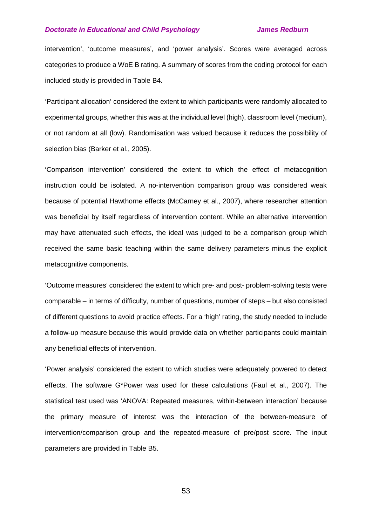intervention', 'outcome measures', and 'power analysis'. Scores were averaged across categories to produce a WoE B rating. A summary of scores from the coding protocol for each included study is provided in Table B4.

'Participant allocation' considered the extent to which participants were randomly allocated to experimental groups, whether this was at the individual level (high), classroom level (medium), or not random at all (low). Randomisation was valued because it reduces the possibility of selection bias (Barker et al., 2005).

'Comparison intervention' considered the extent to which the effect of metacognition instruction could be isolated. A no-intervention comparison group was considered weak because of potential Hawthorne effects (McCarney et al., 2007), where researcher attention was beneficial by itself regardless of intervention content. While an alternative intervention may have attenuated such effects, the ideal was judged to be a comparison group which received the same basic teaching within the same delivery parameters minus the explicit metacognitive components.

'Outcome measures' considered the extent to which pre- and post- problem-solving tests were comparable – in terms of difficulty, number of questions, number of steps – but also consisted of different questions to avoid practice effects. For a 'high' rating, the study needed to include a follow-up measure because this would provide data on whether participants could maintain any beneficial effects of intervention.

'Power analysis' considered the extent to which studies were adequately powered to detect effects. The software G\*Power was used for these calculations (Faul et al., 2007). The statistical test used was 'ANOVA: Repeated measures, within-between interaction' because the primary measure of interest was the interaction of the between-measure of intervention/comparison group and the repeated-measure of pre/post score. The input parameters are provided in Table B5.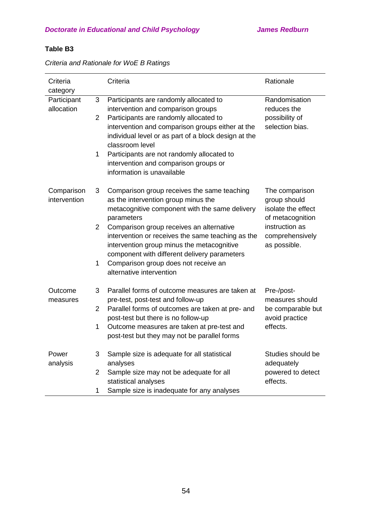# **Table B3**

*Criteria and Rationale for WoE B Ratings*

| Criteria<br>category       |                | Criteria                                                                                                                                                                                    | Rationale                                                                |
|----------------------------|----------------|---------------------------------------------------------------------------------------------------------------------------------------------------------------------------------------------|--------------------------------------------------------------------------|
| Participant                | 3              | Participants are randomly allocated to                                                                                                                                                      | Randomisation                                                            |
| allocation                 |                | intervention and comparison groups                                                                                                                                                          | reduces the                                                              |
|                            | $\overline{2}$ | Participants are randomly allocated to<br>intervention and comparison groups either at the<br>individual level or as part of a block design at the<br>classroom level                       | possibility of<br>selection bias.                                        |
|                            | 1              | Participants are not randomly allocated to<br>intervention and comparison groups or<br>information is unavailable                                                                           |                                                                          |
| Comparison<br>intervention | 3              | Comparison group receives the same teaching<br>as the intervention group minus the<br>metacognitive component with the same delivery<br>parameters                                          | The comparison<br>group should<br>isolate the effect<br>of metacognition |
|                            | $\overline{2}$ | Comparison group receives an alternative<br>intervention or receives the same teaching as the<br>intervention group minus the metacognitive<br>component with different delivery parameters | instruction as<br>comprehensively<br>as possible.                        |
|                            | 1              | Comparison group does not receive an<br>alternative intervention                                                                                                                            |                                                                          |
| Outcome<br>measures        | 3              | Parallel forms of outcome measures are taken at<br>pre-test, post-test and follow-up                                                                                                        | Pre-/post-<br>measures should                                            |
|                            | $\overline{2}$ | Parallel forms of outcomes are taken at pre- and<br>post-test but there is no follow-up                                                                                                     | be comparable but<br>avoid practice                                      |
|                            | 1              | Outcome measures are taken at pre-test and<br>post-test but they may not be parallel forms                                                                                                  | effects.                                                                 |
| Power<br>analysis          | 3              | Sample size is adequate for all statistical<br>analyses                                                                                                                                     | Studies should be<br>adequately                                          |
|                            | $\overline{2}$ | Sample size may not be adequate for all<br>statistical analyses                                                                                                                             | powered to detect<br>effects.                                            |
|                            | 1              | Sample size is inadequate for any analyses                                                                                                                                                  |                                                                          |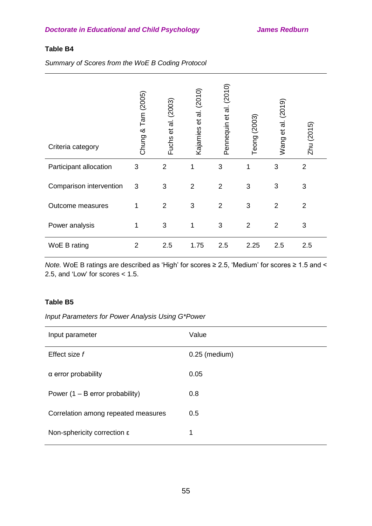## **Table B4**

*Summary of Scores from the WoE B Coding Protocol*

| Criteria category       | Chung & Tam (2005) | (2003)<br>$\vec{a}$<br>$\vec{e}$<br>Fuchs | et al. (2010)<br>Kajamies | Pennequin et al. (2010) | Teong (2003)   | (2019)<br>et al.<br>Wang | Zhu (2015)     |
|-------------------------|--------------------|-------------------------------------------|---------------------------|-------------------------|----------------|--------------------------|----------------|
| Participant allocation  | 3                  | $\overline{2}$                            |                           | 3                       | 1              | 3                        | $\overline{2}$ |
| Comparison intervention | 3                  | 3                                         | $\overline{2}$            | $\overline{2}$          | 3              | 3                        | $\mathfrak{S}$ |
| Outcome measures        | 1                  | $\overline{2}$                            | 3                         | $\overline{2}$          | 3              | $\overline{2}$           | 2              |
| Power analysis          | 1                  | 3                                         | 1                         | 3                       | $\overline{2}$ | $\overline{2}$           | 3              |
| WoE B rating            | $\overline{2}$     | 2.5                                       | 1.75                      | 2.5                     | 2.25           | 2.5                      | 2.5            |

*Note.* WoE B ratings are described as 'High' for scores ≥ 2.5, 'Medium' for scores ≥ 1.5 and < 2.5, and 'Low' for scores < 1.5.

### **Table B5**

*Input Parameters for Power Analysis Using G\*Power*

| Input parameter                     | Value           |
|-------------------------------------|-----------------|
| Effect size f                       | $0.25$ (medium) |
| α error probability                 | 0.05            |
| Power $(1 - B$ error probability)   | 0.8             |
| Correlation among repeated measures | 0.5             |
| Non-sphericity correction ε         | 1               |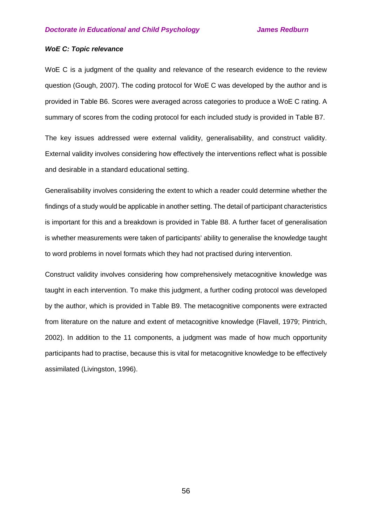#### *WoE C: Topic relevance*

WoE C is a judgment of the quality and relevance of the research evidence to the review question (Gough, 2007). The coding protocol for WoE C was developed by the author and is provided in Table B6. Scores were averaged across categories to produce a WoE C rating. A summary of scores from the coding protocol for each included study is provided in Table B7.

The key issues addressed were external validity, generalisability, and construct validity. External validity involves considering how effectively the interventions reflect what is possible and desirable in a standard educational setting.

Generalisability involves considering the extent to which a reader could determine whether the findings of a study would be applicable in another setting. The detail of participant characteristics is important for this and a breakdown is provided in Table B8. A further facet of generalisation is whether measurements were taken of participants' ability to generalise the knowledge taught to word problems in novel formats which they had not practised during intervention.

Construct validity involves considering how comprehensively metacognitive knowledge was taught in each intervention. To make this judgment, a further coding protocol was developed by the author, which is provided in Table B9. The metacognitive components were extracted from literature on the nature and extent of metacognitive knowledge (Flavell, 1979; Pintrich, 2002). In addition to the 11 components, a judgment was made of how much opportunity participants had to practise, because this is vital for metacognitive knowledge to be effectively assimilated (Livingston, 1996).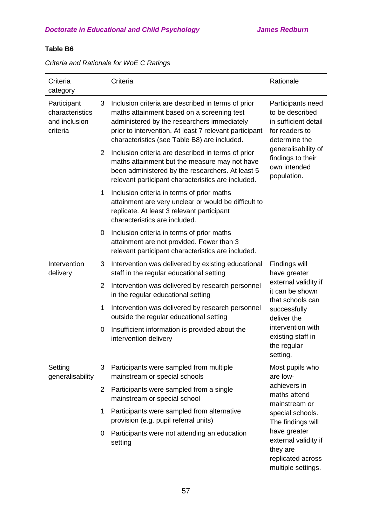# **Table B6**

| Criteria<br>category                                        |                                                                                           | Criteria                                                                                                                                                                                                                                                  | Rationale                                                                                       |  |  |
|-------------------------------------------------------------|-------------------------------------------------------------------------------------------|-----------------------------------------------------------------------------------------------------------------------------------------------------------------------------------------------------------------------------------------------------------|-------------------------------------------------------------------------------------------------|--|--|
| Participant<br>characteristics<br>and inclusion<br>criteria | 3                                                                                         | Inclusion criteria are described in terms of prior<br>maths attainment based on a screening test<br>administered by the researchers immediately<br>prior to intervention. At least 7 relevant participant<br>characteristics (see Table B8) are included. | Participants need<br>to be described<br>in sufficient detail<br>for readers to<br>determine the |  |  |
|                                                             | 2                                                                                         | Inclusion criteria are described in terms of prior<br>maths attainment but the measure may not have<br>been administered by the researchers. At least 5<br>relevant participant characteristics are included.                                             | generalisability of<br>findings to their<br>own intended<br>population.                         |  |  |
|                                                             | 1                                                                                         | Inclusion criteria in terms of prior maths<br>attainment are very unclear or would be difficult to<br>replicate. At least 3 relevant participant<br>characteristics are included.                                                                         |                                                                                                 |  |  |
|                                                             | 0                                                                                         | Inclusion criteria in terms of prior maths<br>attainment are not provided. Fewer than 3<br>relevant participant characteristics are included.                                                                                                             |                                                                                                 |  |  |
| Intervention<br>delivery                                    | 3                                                                                         | Intervention was delivered by existing educational<br>staff in the regular educational setting                                                                                                                                                            | Findings will<br>have greater                                                                   |  |  |
|                                                             | $\overline{2}$                                                                            | Intervention was delivered by research personnel<br>in the regular educational setting                                                                                                                                                                    | external validity if<br>it can be shown<br>that schools can                                     |  |  |
|                                                             | 1                                                                                         | Intervention was delivered by research personnel<br>outside the regular educational setting                                                                                                                                                               | successfully<br>deliver the                                                                     |  |  |
|                                                             | 0                                                                                         | Insufficient information is provided about the<br>intervention delivery                                                                                                                                                                                   | intervention with<br>existing staff in<br>the regular<br>setting.                               |  |  |
| Setting<br>generalisability                                 | 3                                                                                         | Participants were sampled from multiple<br>mainstream or special schools                                                                                                                                                                                  | Most pupils who<br>are low-                                                                     |  |  |
|                                                             | $\mathbf{2}$                                                                              | Participants were sampled from a single<br>mainstream or special school                                                                                                                                                                                   | achievers in<br>maths attend<br>mainstream or                                                   |  |  |
|                                                             | Participants were sampled from alternative<br>1.<br>provision (e.g. pupil referral units) |                                                                                                                                                                                                                                                           | special schools.<br>The findings will                                                           |  |  |
|                                                             | 0                                                                                         | Participants were not attending an education<br>setting                                                                                                                                                                                                   | have greater<br>external validity if<br>they are<br>replicated across<br>multiple settings.     |  |  |

# *Criteria and Rationale for WoE C Ratings*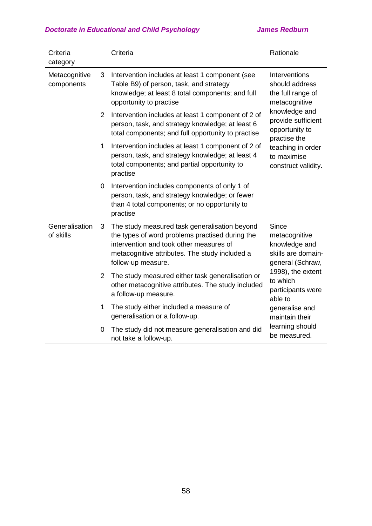| Criteria<br>category                                       |                | Criteria                                                                                                                                                                                                            | Rationale                                                                                |  |  |
|------------------------------------------------------------|----------------|---------------------------------------------------------------------------------------------------------------------------------------------------------------------------------------------------------------------|------------------------------------------------------------------------------------------|--|--|
| Metacognitive<br>components<br>Generalisation<br>of skills | 3              | Intervention includes at least 1 component (see<br>Table B9) of person, task, and strategy<br>knowledge; at least 8 total components; and full<br>opportunity to practise                                           | Interventions<br>should address<br>the full range of<br>metacognitive                    |  |  |
|                                                            | $\overline{2}$ | Intervention includes at least 1 component of 2 of<br>person, task, and strategy knowledge; at least 6<br>total components; and full opportunity to practise                                                        | knowledge and<br>provide sufficient<br>opportunity to<br>practise the                    |  |  |
|                                                            | 1              | Intervention includes at least 1 component of 2 of<br>person, task, and strategy knowledge; at least 4<br>total components; and partial opportunity to<br>practise                                                  | teaching in order<br>to maximise<br>construct validity.                                  |  |  |
|                                                            | 0              | Intervention includes components of only 1 of<br>person, task, and strategy knowledge; or fewer<br>than 4 total components; or no opportunity to<br>practise                                                        |                                                                                          |  |  |
|                                                            | 3              | The study measured task generalisation beyond<br>the types of word problems practised during the<br>intervention and took other measures of<br>metacognitive attributes. The study included a<br>follow-up measure. | <b>Since</b><br>metacognitive<br>knowledge and<br>skills are domain-<br>general (Schraw, |  |  |
|                                                            |                | 2 The study measured either task generalisation or<br>other metacognitive attributes. The study included<br>a follow-up measure.                                                                                    | 1998), the extent<br>to which<br>participants were<br>able to                            |  |  |
|                                                            | 1              | The study either included a measure of<br>generalisation or a follow-up.                                                                                                                                            | generalise and<br>maintain their                                                         |  |  |
|                                                            | 0              | The study did not measure generalisation and did<br>not take a follow-up.                                                                                                                                           | learning should<br>be measured.                                                          |  |  |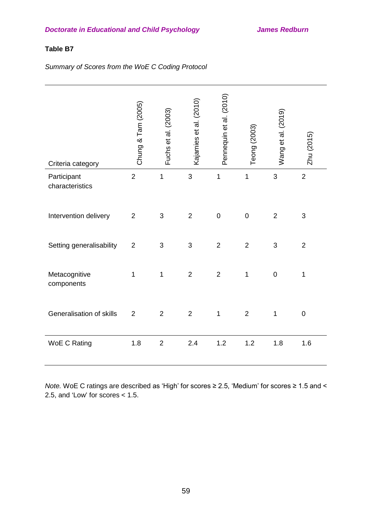## **Table B7**

*Summary of Scores from the WoE C Coding Protocol*

| Criteria category              | Chung & Tam (2005) | Fuchs et al. (2003) | Kajamies et al. (2010) | Pennequin et al. (2010) | Teong (2003)   | Wang et al. (2019) | Zhu (2015)     |
|--------------------------------|--------------------|---------------------|------------------------|-------------------------|----------------|--------------------|----------------|
| Participant<br>characteristics | $\overline{2}$     | 1                   | 3                      | 1                       | $\mathbf 1$    | 3                  | $\overline{2}$ |
| Intervention delivery          | $\overline{2}$     | 3                   | $\overline{2}$         | $\mathbf 0$             | $\pmb{0}$      | $\overline{2}$     | 3              |
| Setting generalisability       | $\overline{2}$     | 3                   | 3                      | $\overline{2}$          | $\overline{2}$ | 3                  | $\overline{2}$ |
| Metacognitive<br>components    | 1                  | 1                   | $\overline{2}$         | $\overline{2}$          | 1              | $\mathbf 0$        | $\mathbf 1$    |
| Generalisation of skills       | $\overline{2}$     | $\overline{2}$      | $\overline{2}$         | $\mathbf 1$             | $\overline{2}$ | $\mathbf 1$        | $\mathbf 0$    |
| <b>WoE C Rating</b>            | 1.8                | $\overline{2}$      | 2.4                    | 1.2                     | 1.2            | 1.8                | 1.6            |

*Note.* WoE C ratings are described as 'High' for scores ≥ 2.5, 'Medium' for scores ≥ 1.5 and < 2.5, and 'Low' for scores < 1.5.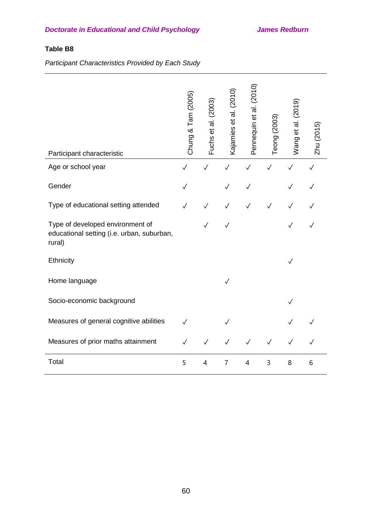# **Table B8**

*Participant Characteristics Provided by Each Study*

| Participant characteristic                                                               | Chung & Tam (2005) | Fuchs et al. (2003) | Kajamies et al. (2010) | Pennequin et al. (2010) | Teong (2003) | Wang et al. (2019) | Zhu (2015)   |
|------------------------------------------------------------------------------------------|--------------------|---------------------|------------------------|-------------------------|--------------|--------------------|--------------|
| Age or school year                                                                       | $\checkmark$       | $\checkmark$        | $\checkmark$           | $\checkmark$            | $\checkmark$ | $\checkmark$       | $\checkmark$ |
| Gender                                                                                   | $\checkmark$       |                     |                        | $\checkmark$            |              | ✓                  |              |
| Type of educational setting attended                                                     | $\checkmark$       | $\checkmark$        | ✓                      | $\checkmark$            | $\checkmark$ | $\checkmark$       | $\checkmark$ |
| Type of developed environment of<br>educational setting (i.e. urban, suburban,<br>rural) |                    | $\checkmark$        |                        |                         |              | $\checkmark$       | ✓            |
| Ethnicity                                                                                |                    |                     |                        |                         |              | $\checkmark$       |              |
| Home language                                                                            |                    |                     | $\checkmark$           |                         |              |                    |              |
| Socio-economic background                                                                |                    |                     |                        |                         |              | $\checkmark$       |              |
| Measures of general cognitive abilities                                                  | $\checkmark$       |                     |                        |                         |              |                    |              |
| Measures of prior maths attainment                                                       | $\checkmark$       | $\checkmark$        | ✓                      |                         | $\checkmark$ | ✓                  |              |
| Total                                                                                    | 5                  | 4                   | $\overline{7}$         | $\overline{4}$          | 3            | 8                  | 6            |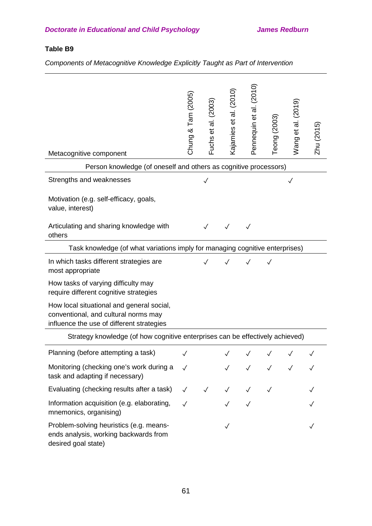# **Table B9**

*Components of Metacognitive Knowledge Explicitly Taught as Part of Intervention*

| Metacognitive component                                                                                                        | Chung & Tam (2005)           | Fuchs et al. (2003) | Kajamies et al. (2010) | Pennequin et al. (2010)                    | Teong (2003) | Wang et al. (2019) | Zhu (2015) |
|--------------------------------------------------------------------------------------------------------------------------------|------------------------------|---------------------|------------------------|--------------------------------------------|--------------|--------------------|------------|
| Person knowledge (of oneself and others as cognitive processors)                                                               |                              |                     |                        |                                            |              |                    |            |
| Strengths and weaknesses                                                                                                       | $\checkmark$<br>$\checkmark$ |                     |                        |                                            |              |                    |            |
| Motivation (e.g. self-efficacy, goals,<br>value, interest)                                                                     |                              |                     |                        |                                            |              |                    |            |
| Articulating and sharing knowledge with<br>others                                                                              |                              |                     |                        |                                            |              |                    |            |
| Task knowledge (of what variations imply for managing cognitive enterprises)                                                   |                              |                     |                        |                                            |              |                    |            |
| In which tasks different strategies are<br>most appropriate                                                                    |                              |                     | $\checkmark$           |                                            | $\checkmark$ |                    |            |
| How tasks of varying difficulty may<br>require different cognitive strategies                                                  |                              |                     |                        |                                            |              |                    |            |
| How local situational and general social,<br>conventional, and cultural norms may<br>influence the use of different strategies |                              |                     |                        |                                            |              |                    |            |
| Strategy knowledge (of how cognitive enterprises can be effectively achieved)                                                  |                              |                     |                        |                                            |              |                    |            |
| Planning (before attempting a task)                                                                                            | $\checkmark$                 |                     |                        | $\checkmark\quad\checkmark\quad\checkmark$ |              | $\checkmark$       |            |
| Monitoring (checking one's work during a<br>task and adapting if necessary)                                                    | $\checkmark$                 |                     |                        | $\checkmark$                               | $\checkmark$ |                    |            |
| Evaluating (checking results after a task)                                                                                     | $\checkmark$                 | $\sqrt{2}$          | $\checkmark$           | $\checkmark$                               | $\checkmark$ |                    |            |
| Information acquisition (e.g. elaborating,<br>mnemonics, organising)                                                           | $\checkmark$                 |                     |                        |                                            |              |                    |            |
| Problem-solving heuristics (e.g. means-<br>ends analysis, working backwards from<br>desired goal state)                        |                              |                     |                        |                                            |              |                    |            |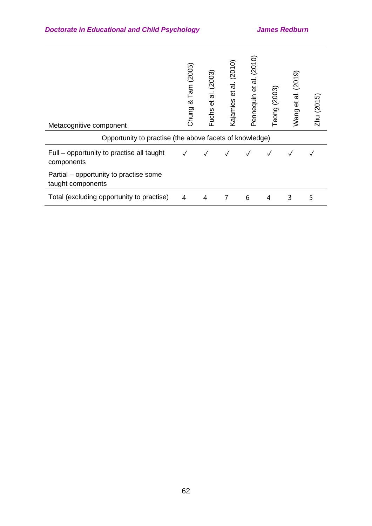| Metacognitive component<br>Opportunity to practise (the above facets of knowledge) | Tam (2005)<br>∞<br>Chung | (2003)<br>et al.<br>Fuchs | al. (2010)<br>$\vec{e}$<br>Kajamies | (2010)<br>ಸ<br>Pennequin et | Teong (2003) | (2019)<br>ಸ<br>Wang et | Zhu (2015) |
|------------------------------------------------------------------------------------|--------------------------|---------------------------|-------------------------------------|-----------------------------|--------------|------------------------|------------|
| Full – opportunity to practise all taught<br>components                            |                          |                           |                                     |                             |              |                        |            |
| Partial – opportunity to practise some<br>taught components                        |                          |                           |                                     |                             |              |                        |            |
| Total (excluding opportunity to practise)                                          | 4                        | 4                         |                                     | 6                           | 4            | 3                      | 5          |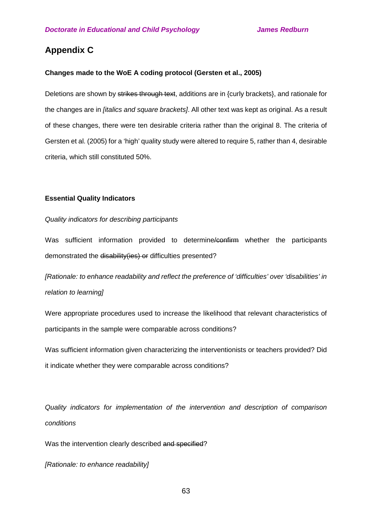# **Appendix C**

### **Changes made to the WoE A coding protocol (Gersten et al., 2005)**

Deletions are shown by strikes through text, additions are in {curly brackets}, and rationale for the changes are in *[italics and square brackets]*. All other text was kept as original. As a result of these changes, there were ten desirable criteria rather than the original 8. The criteria of Gersten et al. (2005) for a 'high' quality study were altered to require 5, rather than 4, desirable criteria, which still constituted 50%.

#### **Essential Quality Indicators**

#### *Quality indicators for describing participants*

Was sufficient information provided to determine/confirm whether the participants demonstrated the disability (ies) or difficulties presented?

*[Rationale: to enhance readability and reflect the preference of 'difficulties' over 'disabilities' in relation to learning]*

Were appropriate procedures used to increase the likelihood that relevant characteristics of participants in the sample were comparable across conditions?

Was sufficient information given characterizing the interventionists or teachers provided? Did it indicate whether they were comparable across conditions?

*Quality indicators for implementation of the intervention and description of comparison conditions*

Was the intervention clearly described and specified?

*[Rationale: to enhance readability]*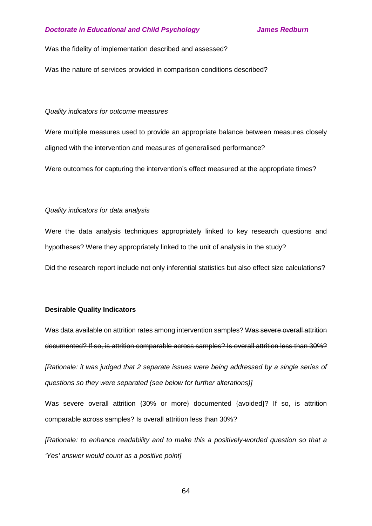Was the fidelity of implementation described and assessed?

Was the nature of services provided in comparison conditions described?

#### *Quality indicators for outcome measures*

Were multiple measures used to provide an appropriate balance between measures closely aligned with the intervention and measures of generalised performance?

Were outcomes for capturing the intervention's effect measured at the appropriate times?

#### *Quality indicators for data analysis*

Were the data analysis techniques appropriately linked to key research questions and hypotheses? Were they appropriately linked to the unit of analysis in the study?

Did the research report include not only inferential statistics but also effect size calculations?

#### **Desirable Quality Indicators**

Was data available on attrition rates among intervention samples? Was severe overall attrition documented? If so, is attrition comparable across samples? Is overall attrition less than 30%?

*[Rationale: it was judged that 2 separate issues were being addressed by a single series of questions so they were separated (see below for further alterations)]*

Was severe overall attrition {30% or more} documented {avoided}? If so, is attrition comparable across samples? Is overall attrition less than 30%?

*[Rationale: to enhance readability and to make this a positively-worded question so that a 'Yes' answer would count as a positive point]*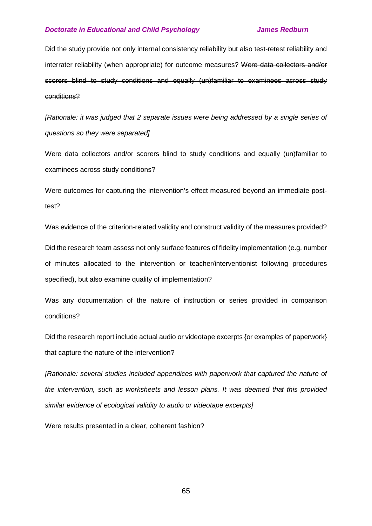Did the study provide not only internal consistency reliability but also test-retest reliability and interrater reliability (when appropriate) for outcome measures? Were data collectors and/or scorers blind to study conditions and equally (un)familiar to examinees across study conditions?

*[Rationale: it was judged that 2 separate issues were being addressed by a single series of questions so they were separated]*

Were data collectors and/or scorers blind to study conditions and equally (un)familiar to examinees across study conditions?

Were outcomes for capturing the intervention's effect measured beyond an immediate posttest?

Was evidence of the criterion-related validity and construct validity of the measures provided? Did the research team assess not only surface features of fidelity implementation (e.g. number of minutes allocated to the intervention or teacher/interventionist following procedures specified), but also examine quality of implementation?

Was any documentation of the nature of instruction or series provided in comparison conditions?

Did the research report include actual audio or videotape excerpts {or examples of paperwork} that capture the nature of the intervention?

*[Rationale: several studies included appendices with paperwork that captured the nature of the intervention, such as worksheets and lesson plans. It was deemed that this provided similar evidence of ecological validity to audio or videotape excerpts]*

Were results presented in a clear, coherent fashion?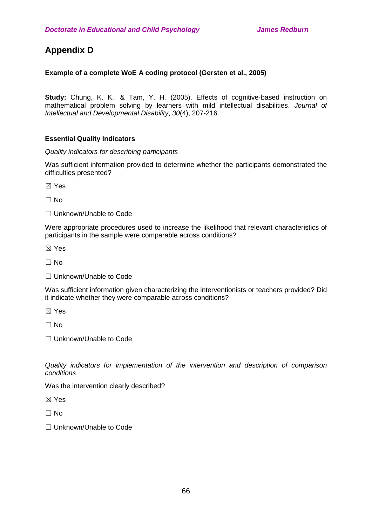# **Appendix D**

## **Example of a complete WoE A coding protocol (Gersten et al., 2005)**

**Study:** Chung, K. K., & Tam, Y. H. (2005). Effects of cognitive-based instruction on mathematical problem solving by learners with mild intellectual disabilities. *Journal of Intellectual and Developmental Disability*, *30*(4), 207-216.

### **Essential Quality Indicators**

*Quality indicators for describing participants*

Was sufficient information provided to determine whether the participants demonstrated the difficulties presented?

☒ Yes

 $\Box$  No

□ Unknown/Unable to Code

Were appropriate procedures used to increase the likelihood that relevant characteristics of participants in the sample were comparable across conditions?

☒ Yes

 $\Box$  No

□ Unknown/Unable to Code

Was sufficient information given characterizing the interventionists or teachers provided? Did it indicate whether they were comparable across conditions?

☒ Yes

 $\Box$  No

☐ Unknown/Unable to Code

*Quality indicators for implementation of the intervention and description of comparison conditions*

Was the intervention clearly described?

☒ Yes

 $\Box$  No

□ Unknown/Unable to Code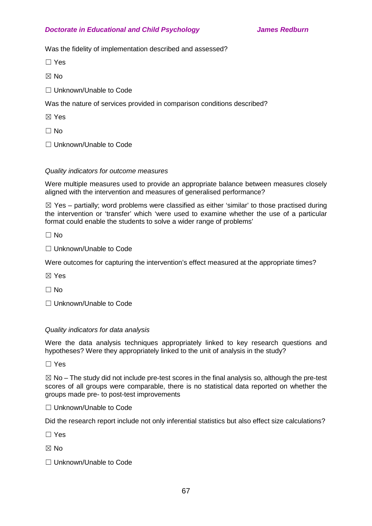Was the fidelity of implementation described and assessed?

☐ Yes

 $\boxtimes$  No

☐ Unknown/Unable to Code

Was the nature of services provided in comparison conditions described?

☒ Yes

☐ No

☐ Unknown/Unable to Code

## *Quality indicators for outcome measures*

Were multiple measures used to provide an appropriate balance between measures closely aligned with the intervention and measures of generalised performance?

 $\boxtimes$  Yes – partially; word problems were classified as either 'similar' to those practised during the intervention or 'transfer' which 'were used to examine whether the use of a particular format could enable the students to solve a wider range of problems'

 $\Box$  No

□ Unknown/Unable to Code

Were outcomes for capturing the intervention's effect measured at the appropriate times?

☒ Yes

 $\Box$  No

☐ Unknown/Unable to Code

### *Quality indicators for data analysis*

Were the data analysis techniques appropriately linked to key research questions and hypotheses? Were they appropriately linked to the unit of analysis in the study?

☐ Yes

 $\boxtimes$  No – The study did not include pre-test scores in the final analysis so, although the pre-test scores of all groups were comparable, there is no statistical data reported on whether the groups made pre- to post-test improvements

□ Unknown/Unable to Code

Did the research report include not only inferential statistics but also effect size calculations?

☐ Yes

 $\boxtimes$  No

☐ Unknown/Unable to Code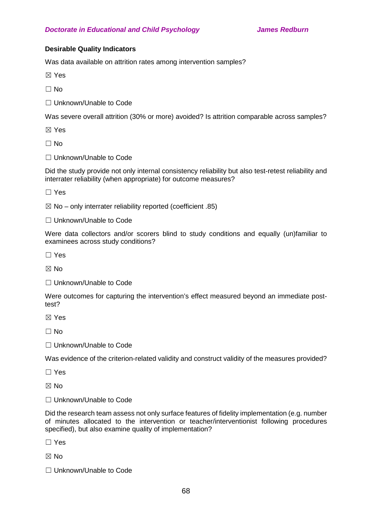## **Desirable Quality Indicators**

Was data available on attrition rates among intervention samples?

☒ Yes

 $\Box$  No

□ Unknown/Unable to Code

Was severe overall attrition (30% or more) avoided? Is attrition comparable across samples?

☒ Yes

 $\Box$  No

□ Unknown/Unable to Code

Did the study provide not only internal consistency reliability but also test-retest reliability and interrater reliability (when appropriate) for outcome measures?

☐ Yes

 $\boxtimes$  No – only interrater reliability reported (coefficient .85)

☐ Unknown/Unable to Code

Were data collectors and/or scorers blind to study conditions and equally (un)familiar to examinees across study conditions?

☐ Yes

☒ No

☐ Unknown/Unable to Code

Were outcomes for capturing the intervention's effect measured beyond an immediate posttest?

☒ Yes

 $\Box$  No

□ Unknown/Unable to Code

Was evidence of the criterion-related validity and construct validity of the measures provided?

☐ Yes

☒ No

□ Unknown/Unable to Code

Did the research team assess not only surface features of fidelity implementation (e.g. number of minutes allocated to the intervention or teacher/interventionist following procedures specified), but also examine quality of implementation?

☐ Yes

☒ No

☐ Unknown/Unable to Code